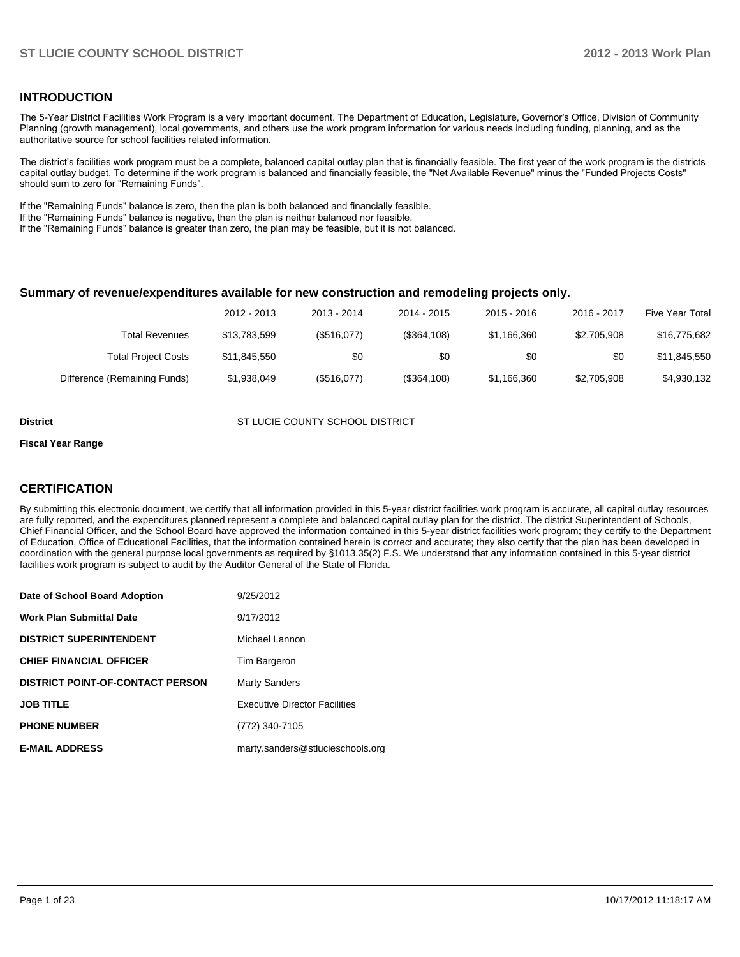#### **INTRODUCTION**

The 5-Year District Facilities Work Program is a very important document. The Department of Education, Legislature, Governor's Office, Division of Community Planning (growth management), local governments, and others use the work program information for various needs including funding, planning, and as the authoritative source for school facilities related information.

The district's facilities work program must be a complete, balanced capital outlay plan that is financially feasible. The first year of the work program is the districts capital outlay budget. To determine if the work program is balanced and financially feasible, the "Net Available Revenue" minus the "Funded Projects Costs" should sum to zero for "Remaining Funds".

If the "Remaining Funds" balance is zero, then the plan is both balanced and financially feasible.

If the "Remaining Funds" balance is negative, then the plan is neither balanced nor feasible.

If the "Remaining Funds" balance is greater than zero, the plan may be feasible, but it is not balanced.

#### **Summary of revenue/expenditures available for new construction and remodeling projects only.**

| <b>Five Year Total</b> | 2016 - 2017 | $2015 - 2016$ | 2014 - 2015 | 2013 - 2014 | 2012 - 2013  |                              |
|------------------------|-------------|---------------|-------------|-------------|--------------|------------------------------|
| \$16,775,682           | \$2,705,908 | \$1,166,360   | (\$364,108) | (\$516,077) | \$13.783.599 | Total Revenues               |
| \$11,845,550           | \$0         | \$0           | \$0         | \$0         | \$11.845.550 | <b>Total Project Costs</b>   |
| \$4,930,132            | \$2,705,908 | \$1,166,360   | (\$364,108) | (\$516,077) | \$1,938,049  | Difference (Remaining Funds) |

**District COUNTY SCHOOL DISTRICT COUNTY SCHOOL DISTRICT** 

#### **Fiscal Year Range**

### **CERTIFICATION**

By submitting this electronic document, we certify that all information provided in this 5-year district facilities work program is accurate, all capital outlay resources are fully reported, and the expenditures planned represent a complete and balanced capital outlay plan for the district. The district Superintendent of Schools, Chief Financial Officer, and the School Board have approved the information contained in this 5-year district facilities work program; they certify to the Department of Education, Office of Educational Facilities, that the information contained herein is correct and accurate; they also certify that the plan has been developed in coordination with the general purpose local governments as required by §1013.35(2) F.S. We understand that any information contained in this 5-year district facilities work program is subject to audit by the Auditor General of the State of Florida.

| Date of School Board Adoption           | 9/25/2012                            |
|-----------------------------------------|--------------------------------------|
| <b>Work Plan Submittal Date</b>         | 9/17/2012                            |
| <b>DISTRICT SUPERINTENDENT</b>          | Michael Lannon                       |
| <b>CHIEF FINANCIAL OFFICER</b>          | Tim Bargeron                         |
| <b>DISTRICT POINT-OF-CONTACT PERSON</b> | <b>Marty Sanders</b>                 |
| <b>JOB TITLE</b>                        | <b>Executive Director Facilities</b> |
| <b>PHONE NUMBER</b>                     | (772) 340-7105                       |
| <b>E-MAIL ADDRESS</b>                   | marty.sanders@stlucieschools.org     |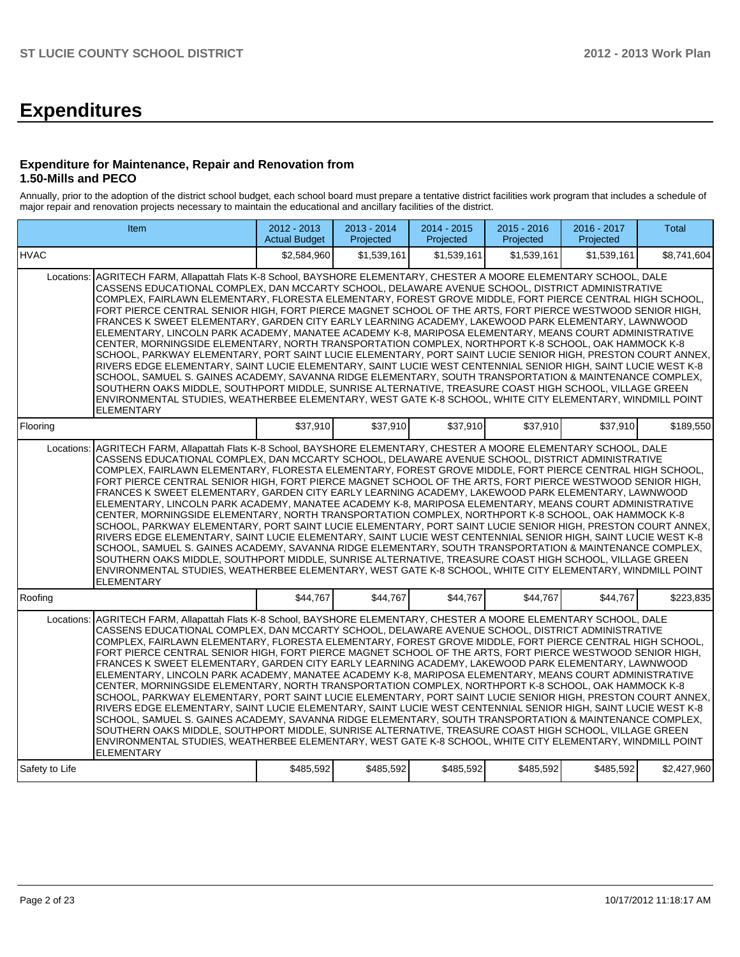# **Expenditures**

#### **Expenditure for Maintenance, Repair and Renovation from 1.50-Mills and PECO**

Annually, prior to the adoption of the district school budget, each school board must prepare a tentative district facilities work program that includes a schedule of major repair and renovation projects necessary to maintain the educational and ancillary facilities of the district.

|                | Item                                                                                                                                                                                                                                                                                                                                                                                                                                                                                                                                                                                                                                                                                                                                                                                                                                                                                                                                                                                                                                                                                                                                                                                                                                                                                                                                                | 2012 - 2013<br><b>Actual Budget</b> | 2013 - 2014<br>Projected | $2014 - 2015$<br>Projected | 2015 - 2016<br>Projected | 2016 - 2017<br>Projected | <b>Total</b> |
|----------------|-----------------------------------------------------------------------------------------------------------------------------------------------------------------------------------------------------------------------------------------------------------------------------------------------------------------------------------------------------------------------------------------------------------------------------------------------------------------------------------------------------------------------------------------------------------------------------------------------------------------------------------------------------------------------------------------------------------------------------------------------------------------------------------------------------------------------------------------------------------------------------------------------------------------------------------------------------------------------------------------------------------------------------------------------------------------------------------------------------------------------------------------------------------------------------------------------------------------------------------------------------------------------------------------------------------------------------------------------------|-------------------------------------|--------------------------|----------------------------|--------------------------|--------------------------|--------------|
| <b>HVAC</b>    |                                                                                                                                                                                                                                                                                                                                                                                                                                                                                                                                                                                                                                                                                                                                                                                                                                                                                                                                                                                                                                                                                                                                                                                                                                                                                                                                                     | \$2.584.960                         | \$1.539.161              | \$1.539.161                | \$1.539.161              | \$1.539.161              | \$8,741,604  |
| Locations:     | AGRITECH FARM, Allapattah Flats K-8 School, BAYSHORE ELEMENTARY, CHESTER A MOORE ELEMENTARY SCHOOL, DALE<br>CASSENS EDUCATIONAL COMPLEX, DAN MCCARTY SCHOOL, DELAWARE AVENUE SCHOOL, DISTRICT ADMINISTRATIVE<br>COMPLEX, FAIRLAWN ELEMENTARY, FLORESTA ELEMENTARY, FOREST GROVE MIDDLE, FORT PIERCE CENTRAL HIGH SCHOOL,<br>FORT PIERCE CENTRAL SENIOR HIGH, FORT PIERCE MAGNET SCHOOL OF THE ARTS, FORT PIERCE WESTWOOD SENIOR HIGH,<br>FRANCES K SWEET ELEMENTARY, GARDEN CITY EARLY LEARNING ACADEMY, LAKEWOOD PARK ELEMENTARY, LAWNWOOD<br>ELEMENTARY, LINCOLN PARK ACADEMY, MANATEE ACADEMY K-8, MARIPOSA ELEMENTARY, MEANS COURT ADMINISTRATIVE<br>CENTER, MORNINGSIDE ELEMENTARY, NORTH TRANSPORTATION COMPLEX, NORTHPORT K-8 SCHOOL, OAK HAMMOCK K-8<br>SCHOOL, PARKWAY ELEMENTARY, PORT SAINT LUCIE ELEMENTARY, PORT SAINT LUCIE SENIOR HIGH, PRESTON COURT ANNEX,<br>RIVERS EDGE ELEMENTARY, SAINT LUCIE ELEMENTARY, SAINT LUCIE WEST CENTENNIAL SENIOR HIGH, SAINT LUCIE WEST K-8<br>SCHOOL, SAMUEL S. GAINES ACADEMY, SAVANNA RIDGE ELEMENTARY, SOUTH TRANSPORTATION & MAINTENANCE COMPLEX,<br>SOUTHERN OAKS MIDDLE, SOUTHPORT MIDDLE, SUNRISE ALTERNATIVE, TREASURE COAST HIGH SCHOOL, VILLAGE GREEN<br>ENVIRONMENTAL STUDIES, WEATHERBEE ELEMENTARY, WEST GATE K-8 SCHOOL, WHITE CITY ELEMENTARY, WINDMILL POINT<br><b>ELEMENTARY</b> |                                     |                          |                            |                          |                          |              |
| Flooring       |                                                                                                                                                                                                                                                                                                                                                                                                                                                                                                                                                                                                                                                                                                                                                                                                                                                                                                                                                                                                                                                                                                                                                                                                                                                                                                                                                     | \$37,910                            | \$37,910                 | \$37,910                   | \$37,910                 | \$37,910                 | \$189,550    |
| Locations:     | AGRITECH FARM, Allapattah Flats K-8 School, BAYSHORE ELEMENTARY, CHESTER A MOORE ELEMENTARY SCHOOL, DALE<br>CASSENS EDUCATIONAL COMPLEX. DAN MCCARTY SCHOOL. DELAWARE AVENUE SCHOOL. DISTRICT ADMINISTRATIVE<br>COMPLEX, FAIRLAWN ELEMENTARY, FLORESTA ELEMENTARY, FOREST GROVE MIDDLE, FORT PIERCE CENTRAL HIGH SCHOOL,<br>FORT PIERCE CENTRAL SENIOR HIGH, FORT PIERCE MAGNET SCHOOL OF THE ARTS, FORT PIERCE WESTWOOD SENIOR HIGH,<br>FRANCES K SWEET ELEMENTARY. GARDEN CITY EARLY LEARNING ACADEMY. LAKEWOOD PARK ELEMENTARY. LAWNWOOD<br>ELEMENTARY, LINCOLN PARK ACADEMY, MANATEE ACADEMY K-8, MARIPOSA ELEMENTARY, MEANS COURT ADMINISTRATIVE<br>CENTER. MORNINGSIDE ELEMENTARY. NORTH TRANSPORTATION COMPLEX. NORTHPORT K-8 SCHOOL. OAK HAMMOCK K-8<br>SCHOOL, PARKWAY ELEMENTARY, PORT SAINT LUCIE ELEMENTARY, PORT SAINT LUCIE SENIOR HIGH, PRESTON COURT ANNEX,<br>RIVERS EDGE ELEMENTARY, SAINT LUCIE ELEMENTARY, SAINT LUCIE WEST CENTENNIAL SENIOR HIGH, SAINT LUCIE WEST K-8<br>SCHOOL, SAMUEL S. GAINES ACADEMY, SAVANNA RIDGE ELEMENTARY, SOUTH TRANSPORTATION & MAINTENANCE COMPLEX,<br>SOUTHERN OAKS MIDDLE, SOUTHPORT MIDDLE, SUNRISE ALTERNATIVE, TREASURE COAST HIGH SCHOOL, VILLAGE GREEN<br>ENVIRONMENTAL STUDIES, WEATHERBEE ELEMENTARY, WEST GATE K-8 SCHOOL, WHITE CITY ELEMENTARY, WINDMILL POINT<br><b>ELEMENTARY</b> |                                     |                          |                            |                          |                          |              |
| Roofing        |                                                                                                                                                                                                                                                                                                                                                                                                                                                                                                                                                                                                                                                                                                                                                                                                                                                                                                                                                                                                                                                                                                                                                                                                                                                                                                                                                     | \$44,767                            | \$44,767                 | \$44,767                   | \$44,767                 | \$44,767                 | \$223,835    |
| Locations:     | AGRITECH FARM, Allapattah Flats K-8 School, BAYSHORE ELEMENTARY, CHESTER A MOORE ELEMENTARY SCHOOL, DALE<br>CASSENS EDUCATIONAL COMPLEX, DAN MCCARTY SCHOOL, DELAWARE AVENUE SCHOOL, DISTRICT ADMINISTRATIVE<br>COMPLEX, FAIRLAWN ELEMENTARY, FLORESTA ELEMENTARY, FOREST GROVE MIDDLE, FORT PIERCE CENTRAL HIGH SCHOOL,<br>FORT PIERCE CENTRAL SENIOR HIGH, FORT PIERCE MAGNET SCHOOL OF THE ARTS, FORT PIERCE WESTWOOD SENIOR HIGH,<br>FRANCES K SWEET ELEMENTARY, GARDEN CITY EARLY LEARNING ACADEMY, LAKEWOOD PARK ELEMENTARY, LAWNWOOD<br>ELEMENTARY, LINCOLN PARK ACADEMY, MANATEE ACADEMY K-8, MARIPOSA ELEMENTARY, MEANS COURT ADMINISTRATIVE<br>CENTER, MORNINGSIDE ELEMENTARY, NORTH TRANSPORTATION COMPLEX, NORTHPORT K-8 SCHOOL, OAK HAMMOCK K-8<br>SCHOOL, PARKWAY ELEMENTARY, PORT SAINT LUCIE ELEMENTARY, PORT SAINT LUCIE SENIOR HIGH, PRESTON COURT ANNEX,<br>RIVERS EDGE ELEMENTARY, SAINT LUCIE ELEMENTARY, SAINT LUCIE WEST CENTENNIAL SENIOR HIGH, SAINT LUCIE WEST K-8<br>SCHOOL, SAMUEL S. GAINES ACADEMY, SAVANNA RIDGE ELEMENTARY, SOUTH TRANSPORTATION & MAINTENANCE COMPLEX,<br>SOUTHERN OAKS MIDDLE, SOUTHPORT MIDDLE, SUNRISE ALTERNATIVE, TREASURE COAST HIGH SCHOOL, VILLAGE GREEN<br>ENVIRONMENTAL STUDIES, WEATHERBEE ELEMENTARY, WEST GATE K-8 SCHOOL, WHITE CITY ELEMENTARY, WINDMILL POINT<br><b>ELEMENTARY</b> |                                     |                          |                            |                          |                          |              |
| Safety to Life |                                                                                                                                                                                                                                                                                                                                                                                                                                                                                                                                                                                                                                                                                                                                                                                                                                                                                                                                                                                                                                                                                                                                                                                                                                                                                                                                                     | \$485,592                           | \$485,592                | \$485,592                  | \$485,592                | \$485,592                | \$2,427,960  |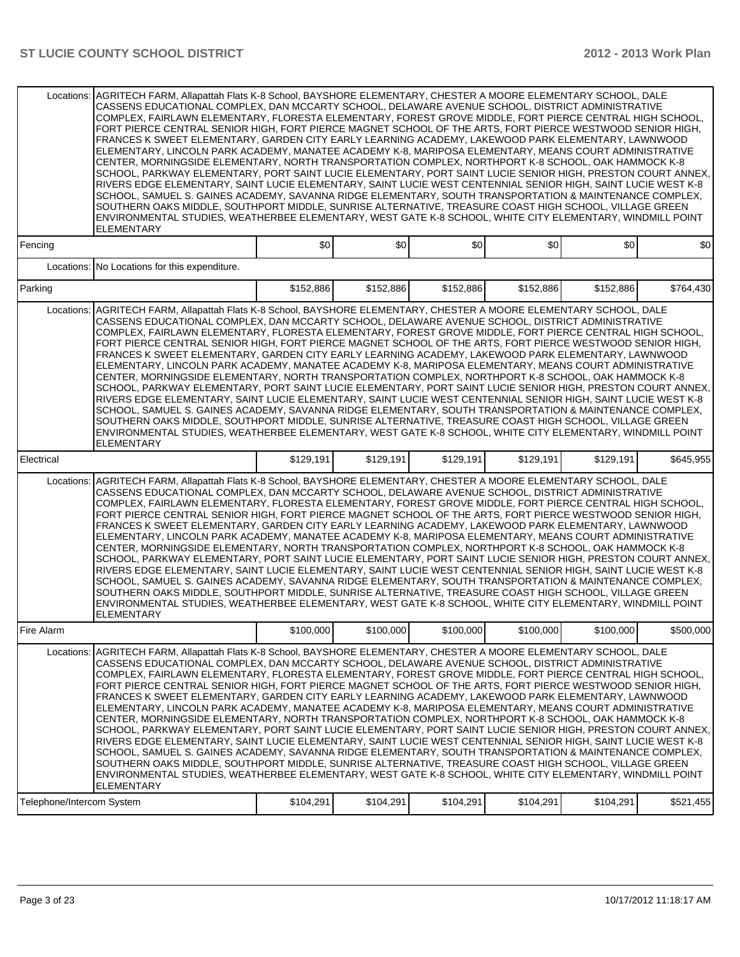| Locations:                              | AGRITECH FARM, Allapattah Flats K-8 School, BAYSHORE ELEMENTARY, CHESTER A MOORE ELEMENTARY SCHOOL, DALE<br>CASSENS EDUCATIONAL COMPLEX, DAN MCCARTY SCHOOL, DELAWARE AVENUE SCHOOL, DISTRICT ADMINISTRATIVE<br>COMPLEX, FAIRLAWN ELEMENTARY, FLORESTA ELEMENTARY, FOREST GROVE MIDDLE, FORT PIERCE CENTRAL HIGH SCHOOL,<br>FORT PIERCE CENTRAL SENIOR HIGH, FORT PIERCE MAGNET SCHOOL OF THE ARTS, FORT PIERCE WESTWOOD SENIOR HIGH,<br>FRANCES K SWEET ELEMENTARY, GARDEN CITY EARLY LEARNING ACADEMY, LAKEWOOD PARK ELEMENTARY, LAWNWOOD<br>ELEMENTARY, LINCOLN PARK ACADEMY, MANATEE ACADEMY K-8, MARIPOSA ELEMENTARY, MEANS COURT ADMINISTRATIVE<br>CENTER, MORNINGSIDE ELEMENTARY, NORTH TRANSPORTATION COMPLEX, NORTHPORT K-8 SCHOOL, OAK HAMMOCK K-8<br>SCHOOL, PARKWAY ELEMENTARY, PORT SAINT LUCIE ELEMENTARY, PORT SAINT LUCIE SENIOR HIGH, PRESTON COURT ANNEX,<br>RIVERS EDGE ELEMENTARY, SAINT LUCIE ELEMENTARY, SAINT LUCIE WEST CENTENNIAL SENIOR HIGH, SAINT LUCIE WEST K-8<br>SCHOOL, SAMUEL S. GAINES ACADEMY, SAVANNA RIDGE ELEMENTARY, SOUTH TRANSPORTATION & MAINTENANCE COMPLEX,<br>SOUTHERN OAKS MIDDLE, SOUTHPORT MIDDLE, SUNRISE ALTERNATIVE, TREASURE COAST HIGH SCHOOL, VILLAGE GREEN<br>ENVIRONMENTAL STUDIES, WEATHERBEE ELEMENTARY, WEST GATE K-8 SCHOOL, WHITE CITY ELEMENTARY, WINDMILL POINT<br><b>ELEMENTARY</b>            |           |           |           |           |           |           |
|-----------------------------------------|----------------------------------------------------------------------------------------------------------------------------------------------------------------------------------------------------------------------------------------------------------------------------------------------------------------------------------------------------------------------------------------------------------------------------------------------------------------------------------------------------------------------------------------------------------------------------------------------------------------------------------------------------------------------------------------------------------------------------------------------------------------------------------------------------------------------------------------------------------------------------------------------------------------------------------------------------------------------------------------------------------------------------------------------------------------------------------------------------------------------------------------------------------------------------------------------------------------------------------------------------------------------------------------------------------------------------------------------------------------|-----------|-----------|-----------|-----------|-----------|-----------|
| Fencing                                 |                                                                                                                                                                                                                                                                                                                                                                                                                                                                                                                                                                                                                                                                                                                                                                                                                                                                                                                                                                                                                                                                                                                                                                                                                                                                                                                                                                | \$0       | \$0       | 0         | \$0       | \$0       | \$0       |
|                                         | Locations: No Locations for this expenditure.                                                                                                                                                                                                                                                                                                                                                                                                                                                                                                                                                                                                                                                                                                                                                                                                                                                                                                                                                                                                                                                                                                                                                                                                                                                                                                                  |           |           |           |           |           |           |
| Parking                                 |                                                                                                                                                                                                                                                                                                                                                                                                                                                                                                                                                                                                                                                                                                                                                                                                                                                                                                                                                                                                                                                                                                                                                                                                                                                                                                                                                                | \$152,886 | \$152,886 | \$152,886 | \$152,886 | \$152,886 | \$764,430 |
| Locations:                              | AGRITECH FARM, Allapattah Flats K-8 School, BAYSHORE ELEMENTARY, CHESTER A MOORE ELEMENTARY SCHOOL, DALE<br>CASSENS EDUCATIONAL COMPLEX, DAN MCCARTY SCHOOL, DELAWARE AVENUE SCHOOL, DISTRICT ADMINISTRATIVE<br>COMPLEX, FAIRLAWN ELEMENTARY, FLORESTA ELEMENTARY, FOREST GROVE MIDDLE, FORT PIERCE CENTRAL HIGH SCHOOL,<br>FORT PIERCE CENTRAL SENIOR HIGH. FORT PIERCE MAGNET SCHOOL OF THE ARTS. FORT PIERCE WESTWOOD SENIOR HIGH.<br>FRANCES K SWEET ELEMENTARY, GARDEN CITY EARLY LEARNING ACADEMY, LAKEWOOD PARK ELEMENTARY, LAWNWOOD<br>ELEMENTARY, LINCOLN PARK ACADEMY, MANATEE ACADEMY K-8, MARIPOSA ELEMENTARY, MEANS COURT ADMINISTRATIVE<br>CENTER, MORNINGSIDE ELEMENTARY, NORTH TRANSPORTATION COMPLEX, NORTHPORT K-8 SCHOOL, OAK HAMMOCK K-8<br>SCHOOL, PARKWAY ELEMENTARY, PORT SAINT LUCIE ELEMENTARY, PORT SAINT LUCIE SENIOR HIGH, PRESTON COURT ANNEX,<br>RIVERS EDGE ELEMENTARY, SAINT LUCIE ELEMENTARY, SAINT LUCIE WEST CENTENNIAL SENIOR HIGH, SAINT LUCIE WEST K-8<br>SCHOOL, SAMUEL S. GAINES ACADEMY, SAVANNA RIDGE ELEMENTARY, SOUTH TRANSPORTATION & MAINTENANCE COMPLEX,<br>SOUTHERN OAKS MIDDLE, SOUTHPORT MIDDLE, SUNRISE ALTERNATIVE, TREASURE COAST HIGH SCHOOL, VILLAGE GREEN<br>ENVIRONMENTAL STUDIES, WEATHERBEE ELEMENTARY, WEST GATE K-8 SCHOOL, WHITE CITY ELEMENTARY, WINDMILL POINT<br><b>ELEMENTARY</b>            |           |           |           |           |           |           |
| Electrical                              |                                                                                                                                                                                                                                                                                                                                                                                                                                                                                                                                                                                                                                                                                                                                                                                                                                                                                                                                                                                                                                                                                                                                                                                                                                                                                                                                                                | \$129,191 | \$129,191 | \$129,191 | \$129,191 | \$129,191 | \$645,955 |
|                                         | Locations: AGRITECH FARM, Allapattah Flats K-8 School, BAYSHORE ELEMENTARY, CHESTER A MOORE ELEMENTARY SCHOOL, DALE<br>CASSENS EDUCATIONAL COMPLEX, DAN MCCARTY SCHOOL, DELAWARE AVENUE SCHOOL, DISTRICT ADMINISTRATIVE<br>COMPLEX, FAIRLAWN ELEMENTARY, FLORESTA ELEMENTARY, FOREST GROVE MIDDLE, FORT PIERCE CENTRAL HIGH SCHOOL,<br>FORT PIERCE CENTRAL SENIOR HIGH, FORT PIERCE MAGNET SCHOOL OF THE ARTS, FORT PIERCE WESTWOOD SENIOR HIGH,<br>FRANCES K SWEET ELEMENTARY, GARDEN CITY EARLY LEARNING ACADEMY, LAKEWOOD PARK ELEMENTARY, LAWNWOOD<br>ELEMENTARY, LINCOLN PARK ACADEMY, MANATEE ACADEMY K-8, MARIPOSA ELEMENTARY, MEANS COURT ADMINISTRATIVE<br>CENTER, MORNINGSIDE ELEMENTARY, NORTH TRANSPORTATION COMPLEX, NORTHPORT K-8 SCHOOL, OAK HAMMOCK K-8<br>SCHOOL, PARKWAY ELEMENTARY, PORT SAINT LUCIE ELEMENTARY, PORT SAINT LUCIE SENIOR HIGH, PRESTON COURT ANNEX,<br>RIVERS EDGE ELEMENTARY, SAINT LUCIE ELEMENTARY, SAINT LUCIE WEST CENTENNIAL SENIOR HIGH, SAINT LUCIE WEST K-8<br>SCHOOL, SAMUEL S. GAINES ACADEMY, SAVANNA RIDGE ELEMENTARY, SOUTH TRANSPORTATION & MAINTENANCE COMPLEX,<br>SOUTHERN OAKS MIDDLE, SOUTHPORT MIDDLE, SUNRISE ALTERNATIVE, TREASURE COAST HIGH SCHOOL, VILLAGE GREEN<br>ENVIRONMENTAL STUDIES, WEATHERBEE ELEMENTARY, WEST GATE K-8 SCHOOL, WHITE CITY ELEMENTARY, WINDMILL POINT<br><b>ELEMENTARY</b> |           |           |           |           |           |           |
| Fire Alarm                              |                                                                                                                                                                                                                                                                                                                                                                                                                                                                                                                                                                                                                                                                                                                                                                                                                                                                                                                                                                                                                                                                                                                                                                                                                                                                                                                                                                | \$100,000 | \$100,000 | \$100,000 | \$100,000 | \$100,000 | \$500,000 |
| Locations:<br>Telephone/Intercom System | AGRITECH FARM, Allapattah Flats K-8 School, BAYSHORE ELEMENTARY, CHESTER A MOORE ELEMENTARY SCHOOL, DALE<br>CASSENS EDUCATIONAL COMPLEX, DAN MCCARTY SCHOOL, DELAWARE AVENUE SCHOOL, DISTRICT ADMINISTRATIVE<br>COMPLEX, FAIRLAWN ELEMENTARY, FLORESTA ELEMENTARY, FOREST GROVE MIDDLE, FORT PIERCE CENTRAL HIGH SCHOOL,<br>FORT PIERCE CENTRAL SENIOR HIGH, FORT PIERCE MAGNET SCHOOL OF THE ARTS, FORT PIERCE WESTWOOD SENIOR HIGH,<br>FRANCES K SWEET ELEMENTARY, GARDEN CITY EARLY LEARNING ACADEMY, LAKEWOOD PARK ELEMENTARY, LAWNWOOD<br>ELEMENTARY, LINCOLN PARK ACADEMY, MANATEE ACADEMY K-8, MARIPOSA ELEMENTARY, MEANS COURT ADMINISTRATIVE<br>CENTER, MORNINGSIDE ELEMENTARY, NORTH TRANSPORTATION COMPLEX, NORTHPORT K-8 SCHOOL, OAK HAMMOCK K-8<br>SCHOOL, PARKWAY ELEMENTARY, PORT SAINT LUCIE ELEMENTARY, PORT SAINT LUCIE SENIOR HIGH, PRESTON COURT ANNEX,<br>RIVERS EDGE ELEMENTARY, SAINT LUCIE ELEMENTARY, SAINT LUCIE WEST CENTENNIAL SENIOR HIGH, SAINT LUCIE WEST K-8<br>SCHOOL, SAMUEL S. GAINES ACADEMY, SAVANNA RIDGE ELEMENTARY, SOUTH TRANSPORTATION & MAINTENANCE COMPLEX,<br>SOUTHERN OAKS MIDDLE, SOUTHPORT MIDDLE, SUNRISE ALTERNATIVE, TREASURE COAST HIGH SCHOOL, VILLAGE GREEN<br>ENVIRONMENTAL STUDIES, WEATHERBEE ELEMENTARY, WEST GATE K-8 SCHOOL, WHITE CITY ELEMENTARY, WINDMILL POINT<br><b>ELEMENTARY</b>            |           | \$104,291 |           |           | \$104,291 |           |
|                                         |                                                                                                                                                                                                                                                                                                                                                                                                                                                                                                                                                                                                                                                                                                                                                                                                                                                                                                                                                                                                                                                                                                                                                                                                                                                                                                                                                                | \$104,291 |           | \$104,291 | \$104,291 |           | \$521,455 |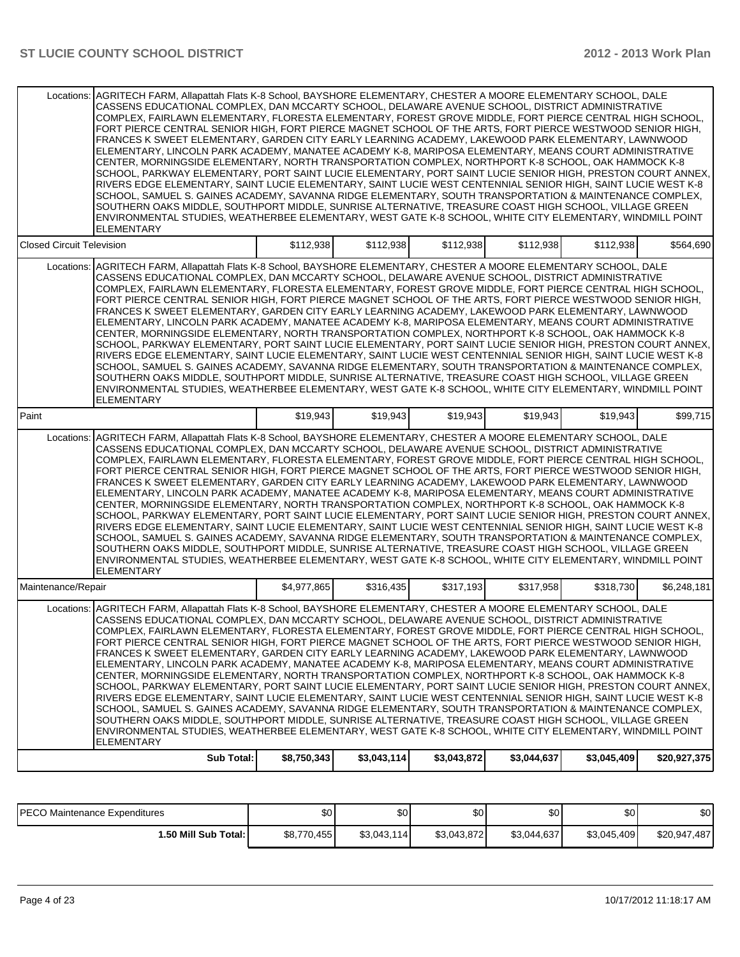|                                  | Locations: AGRITECH FARM, Allapattah Flats K-8 School, BAYSHORE ELEMENTARY, CHESTER A MOORE ELEMENTARY SCHOOL, DALE<br>CASSENS EDUCATIONAL COMPLEX, DAN MCCARTY SCHOOL, DELAWARE AVENUE SCHOOL, DISTRICT ADMINISTRATIVE<br>COMPLEX, FAIRLAWN ELEMENTARY, FLORESTA ELEMENTARY, FOREST GROVE MIDDLE, FORT PIERCE CENTRAL HIGH SCHOOL.<br>FORT PIERCE CENTRAL SENIOR HIGH, FORT PIERCE MAGNET SCHOOL OF THE ARTS, FORT PIERCE WESTWOOD SENIOR HIGH,<br>FRANCES K SWEET ELEMENTARY, GARDEN CITY EARLY LEARNING ACADEMY, LAKEWOOD PARK ELEMENTARY, LAWNWOOD<br>ELEMENTARY, LINCOLN PARK ACADEMY, MANATEE ACADEMY K-8, MARIPOSA ELEMENTARY, MEANS COURT ADMINISTRATIVE<br>CENTER, MORNINGSIDE ELEMENTARY, NORTH TRANSPORTATION COMPLEX, NORTHPORT K-8 SCHOOL, OAK HAMMOCK K-8<br>SCHOOL, PARKWAY ELEMENTARY, PORT SAINT LUCIE ELEMENTARY, PORT SAINT LUCIE SENIOR HIGH, PRESTON COURT ANNEX,<br>RIVERS EDGE ELEMENTARY, SAINT LUCIE ELEMENTARY, SAINT LUCIE WEST CENTENNIAL SENIOR HIGH, SAINT LUCIE WEST K-8<br>SCHOOL, SAMUEL S. GAINES ACADEMY, SAVANNA RIDGE ELEMENTARY, SOUTH TRANSPORTATION & MAINTENANCE COMPLEX,<br>SOUTHERN OAKS MIDDLE, SOUTHPORT MIDDLE, SUNRISE ALTERNATIVE, TREASURE COAST HIGH SCHOOL, VILLAGE GREEN<br>ENVIRONMENTAL STUDIES, WEATHERBEE ELEMENTARY, WEST GATE K-8 SCHOOL, WHITE CITY ELEMENTARY, WINDMILL POINT<br><b>ELEMENTARY</b> |             |             |             |             |             |              |
|----------------------------------|----------------------------------------------------------------------------------------------------------------------------------------------------------------------------------------------------------------------------------------------------------------------------------------------------------------------------------------------------------------------------------------------------------------------------------------------------------------------------------------------------------------------------------------------------------------------------------------------------------------------------------------------------------------------------------------------------------------------------------------------------------------------------------------------------------------------------------------------------------------------------------------------------------------------------------------------------------------------------------------------------------------------------------------------------------------------------------------------------------------------------------------------------------------------------------------------------------------------------------------------------------------------------------------------------------------------------------------------------------------|-------------|-------------|-------------|-------------|-------------|--------------|
| <b>Closed Circuit Television</b> |                                                                                                                                                                                                                                                                                                                                                                                                                                                                                                                                                                                                                                                                                                                                                                                                                                                                                                                                                                                                                                                                                                                                                                                                                                                                                                                                                                | \$112,938   | \$112,938   | \$112,938   | \$112,938   | \$112,938   | \$564,690    |
| Locations:                       | AGRITECH FARM, Allapattah Flats K-8 School, BAYSHORE ELEMENTARY, CHESTER A MOORE ELEMENTARY SCHOOL, DALE<br>CASSENS EDUCATIONAL COMPLEX, DAN MCCARTY SCHOOL, DELAWARE AVENUE SCHOOL, DISTRICT ADMINISTRATIVE<br>COMPLEX, FAIRLAWN ELEMENTARY, FLORESTA ELEMENTARY, FOREST GROVE MIDDLE, FORT PIERCE CENTRAL HIGH SCHOOL,<br>FORT PIERCE CENTRAL SENIOR HIGH, FORT PIERCE MAGNET SCHOOL OF THE ARTS, FORT PIERCE WESTWOOD SENIOR HIGH,<br>FRANCES K SWEET ELEMENTARY, GARDEN CITY EARLY LEARNING ACADEMY, LAKEWOOD PARK ELEMENTARY, LAWNWOOD<br>ELEMENTARY, LINCOLN PARK ACADEMY, MANATEE ACADEMY K-8, MARIPOSA ELEMENTARY, MEANS COURT ADMINISTRATIVE<br>CENTER, MORNINGSIDE ELEMENTARY, NORTH TRANSPORTATION COMPLEX, NORTHPORT K-8 SCHOOL, OAK HAMMOCK K-8<br>SCHOOL, PARKWAY ELEMENTARY, PORT SAINT LUCIE ELEMENTARY, PORT SAINT LUCIE SENIOR HIGH, PRESTON COURT ANNEX,<br>RIVERS EDGE ELEMENTARY, SAINT LUCIE ELEMENTARY, SAINT LUCIE WEST CENTENNIAL SENIOR HIGH, SAINT LUCIE WEST K-8<br>SCHOOL, SAMUEL S. GAINES ACADEMY, SAVANNA RIDGE ELEMENTARY, SOUTH TRANSPORTATION & MAINTENANCE COMPLEX,<br>SOUTHERN OAKS MIDDLE, SOUTHPORT MIDDLE, SUNRISE ALTERNATIVE, TREASURE COAST HIGH SCHOOL, VILLAGE GREEN<br>ENVIRONMENTAL STUDIES, WEATHERBEE ELEMENTARY, WEST GATE K-8 SCHOOL, WHITE CITY ELEMENTARY, WINDMILL POINT<br><b>ELEMENTARY</b>            |             |             |             |             |             |              |
| Paint                            |                                                                                                                                                                                                                                                                                                                                                                                                                                                                                                                                                                                                                                                                                                                                                                                                                                                                                                                                                                                                                                                                                                                                                                                                                                                                                                                                                                | \$19,943    | \$19,943    | \$19,943    | \$19,943    | \$19,943    | \$99,715     |
| Locations:                       | AGRITECH FARM, Allapattah Flats K-8 School, BAYSHORE ELEMENTARY, CHESTER A MOORE ELEMENTARY SCHOOL, DALE<br>CASSENS EDUCATIONAL COMPLEX, DAN MCCARTY SCHOOL, DELAWARE AVENUE SCHOOL, DISTRICT ADMINISTRATIVE<br>COMPLEX, FAIRLAWN ELEMENTARY, FLORESTA ELEMENTARY, FOREST GROVE MIDDLE, FORT PIERCE CENTRAL HIGH SCHOOL,<br>FORT PIERCE CENTRAL SENIOR HIGH, FORT PIERCE MAGNET SCHOOL OF THE ARTS, FORT PIERCE WESTWOOD SENIOR HIGH,<br>FRANCES K SWEET ELEMENTARY, GARDEN CITY EARLY LEARNING ACADEMY, LAKEWOOD PARK ELEMENTARY, LAWNWOOD<br>ELEMENTARY, LINCOLN PARK ACADEMY, MANATEE ACADEMY K-8, MARIPOSA ELEMENTARY, MEANS COURT ADMINISTRATIVE<br>CENTER, MORNINGSIDE ELEMENTARY, NORTH TRANSPORTATION COMPLEX, NORTHPORT K-8 SCHOOL, OAK HAMMOCK K-8<br>SCHOOL, PARKWAY ELEMENTARY, PORT SAINT LUCIE ELEMENTARY, PORT SAINT LUCIE SENIOR HIGH, PRESTON COURT ANNEX,<br>RIVERS EDGE ELEMENTARY, SAINT LUCIE ELEMENTARY, SAINT LUCIE WEST CENTENNIAL SENIOR HIGH, SAINT LUCIE WEST K-8<br>SCHOOL, SAMUEL S. GAINES ACADEMY, SAVANNA RIDGE ELEMENTARY, SOUTH TRANSPORTATION & MAINTENANCE COMPLEX,<br>SOUTHERN OAKS MIDDLE, SOUTHPORT MIDDLE, SUNRISE ALTERNATIVE, TREASURE COAST HIGH SCHOOL, VILLAGE GREEN<br>ENVIRONMENTAL STUDIES, WEATHERBEE ELEMENTARY, WEST GATE K-8 SCHOOL, WHITE CITY ELEMENTARY, WINDMILL POINT<br><b>ELEMENTARY</b>            |             |             |             |             |             |              |
| Maintenance/Repair               |                                                                                                                                                                                                                                                                                                                                                                                                                                                                                                                                                                                                                                                                                                                                                                                                                                                                                                                                                                                                                                                                                                                                                                                                                                                                                                                                                                | \$4,977,865 | \$316,435   | \$317,193   | \$317,958   | \$318,730   | \$6,248,181  |
| Locations:                       | AGRITECH FARM, Allapattah Flats K-8 School, BAYSHORE ELEMENTARY, CHESTER A MOORE ELEMENTARY SCHOOL, DALE<br>CASSENS EDUCATIONAL COMPLEX, DAN MCCARTY SCHOOL, DELAWARE AVENUE SCHOOL, DISTRICT ADMINISTRATIVE<br>COMPLEX, FAIRLAWN ELEMENTARY, FLORESTA ELEMENTARY, FOREST GROVE MIDDLE, FORT PIERCE CENTRAL HIGH SCHOOL,<br>FORT PIERCE CENTRAL SENIOR HIGH, FORT PIERCE MAGNET SCHOOL OF THE ARTS, FORT PIERCE WESTWOOD SENIOR HIGH,<br>FRANCES K SWEET ELEMENTARY, GARDEN CITY EARLY LEARNING ACADEMY, LAKEWOOD PARK ELEMENTARY, LAWNWOOD<br>ELEMENTARY, LINCOLN PARK ACADEMY, MANATEE ACADEMY K-8, MARIPOSA ELEMENTARY, MEANS COURT ADMINISTRATIVE<br>CENTER, MORNINGSIDE ELEMENTARY, NORTH TRANSPORTATION COMPLEX, NORTHPORT K-8 SCHOOL, OAK HAMMOCK K-8<br>SCHOOL, PARKWAY ELEMENTARY, PORT SAINT LUCIE ELEMENTARY, PORT SAINT LUCIE SENIOR HIGH, PRESTON COURT ANNEX,<br>RIVERS EDGE ELEMENTARY, SAINT LUCIE ELEMENTARY, SAINT LUCIE WEST CENTENNIAL SENIOR HIGH, SAINT LUCIE WEST K-8<br>SCHOOL, SAMUEL S. GAINES ACADEMY, SAVANNA RIDGE ELEMENTARY, SOUTH TRANSPORTATION & MAINTENANCE COMPLEX,<br>SOUTHERN OAKS MIDDLE, SOUTHPORT MIDDLE, SUNRISE ALTERNATIVE, TREASURE COAST HIGH SCHOOL, VILLAGE GREEN<br>ENVIRONMENTAL STUDIES, WEATHERBEE ELEMENTARY, WEST GATE K-8 SCHOOL, WHITE CITY ELEMENTARY, WINDMILL POINT<br><b>ELEMENTARY</b>            |             |             |             |             |             |              |
|                                  | <b>Sub Total:</b>                                                                                                                                                                                                                                                                                                                                                                                                                                                                                                                                                                                                                                                                                                                                                                                                                                                                                                                                                                                                                                                                                                                                                                                                                                                                                                                                              | \$8,750,343 | \$3,043,114 | \$3,043,872 | \$3,044,637 | \$3,045,409 | \$20,927,375 |

| PECO Maintenance Expenditures | ሱስ<br>υυ    | ሖ<br>ъU     | $\sim$<br>ັ∪∿ | ¢Λ<br>υU    | \$0 <sub>1</sub> | ድሰ<br>ΦU     |
|-------------------------------|-------------|-------------|---------------|-------------|------------------|--------------|
| 1.50 Mill Sub Total: I        | \$8,770,455 | \$3,043,114 | \$3,043,872   | \$3,044,637 | \$3,045,409      | \$20,947,487 |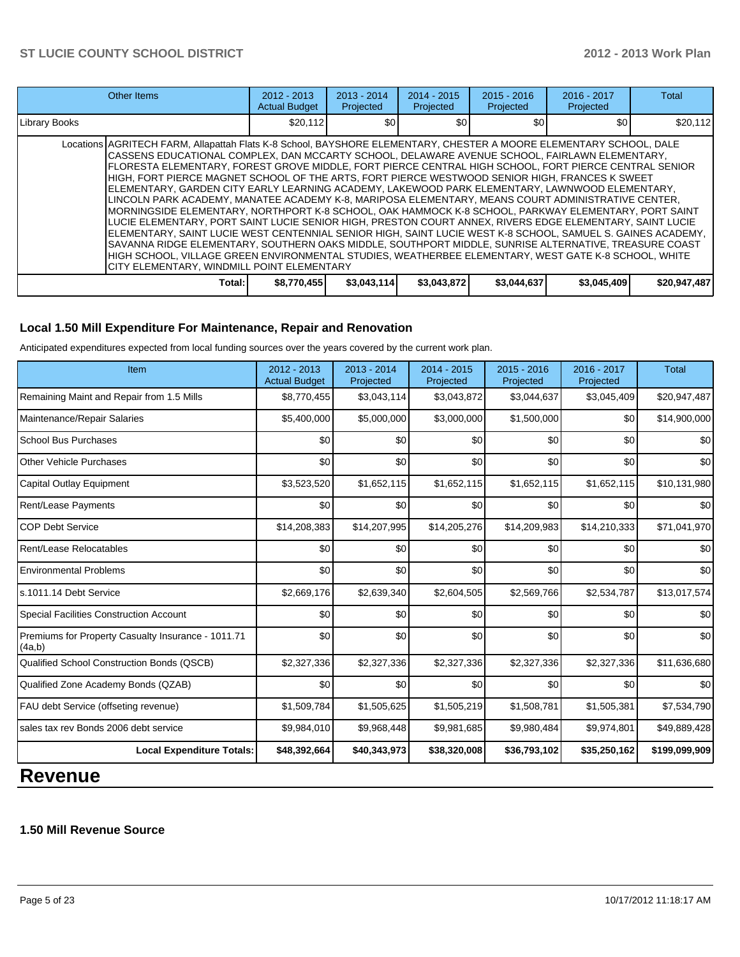|               | <b>Other Items</b>                                                                                                                                                                                                                                                                                                                                                                                                                                                                                                                                                                                                                                                                                                                                                                                                                                                                                                                                                                                                                                                                                                                                                                                                                       |          | $2013 - 2014$<br>Projected | $2014 - 2015$<br>Projected | $2015 - 2016$<br>Projected | 2016 - 2017<br>Projected | <b>Total</b> |  |  |  |
|---------------|------------------------------------------------------------------------------------------------------------------------------------------------------------------------------------------------------------------------------------------------------------------------------------------------------------------------------------------------------------------------------------------------------------------------------------------------------------------------------------------------------------------------------------------------------------------------------------------------------------------------------------------------------------------------------------------------------------------------------------------------------------------------------------------------------------------------------------------------------------------------------------------------------------------------------------------------------------------------------------------------------------------------------------------------------------------------------------------------------------------------------------------------------------------------------------------------------------------------------------------|----------|----------------------------|----------------------------|----------------------------|--------------------------|--------------|--|--|--|
| Library Books |                                                                                                                                                                                                                                                                                                                                                                                                                                                                                                                                                                                                                                                                                                                                                                                                                                                                                                                                                                                                                                                                                                                                                                                                                                          | \$20,112 | \$0                        | \$0                        | \$0                        | \$0                      | \$20,112     |  |  |  |
|               | Locations AGRITECH FARM, Allapattah Flats K-8 School, BAYSHORE ELEMENTARY, CHESTER A MOORE ELEMENTARY SCHOOL, DALE<br>CASSENS EDUCATIONAL COMPLEX, DAN MCCARTY SCHOOL, DELAWARE AVENUE SCHOOL, FAIRLAWN ELEMENTARY,<br>FLORESTA ELEMENTARY. FOREST GROVE MIDDLE. FORT PIERCE CENTRAL HIGH SCHOOL. FORT PIERCE CENTRAL SENIOR<br>HIGH, FORT PIERCE MAGNET SCHOOL OF THE ARTS, FORT PIERCE WESTWOOD SENIOR HIGH, FRANCES K SWEET<br>ELEMENTARY. GARDEN CITY EARLY LEARNING ACADEMY. LAKEWOOD PARK ELEMENTARY. LAWNWOOD ELEMENTARY.<br>LINCOLN PARK ACADEMY, MANATEE ACADEMY K-8, MARIPOSA ELEMENTARY, MEANS COURT ADMINISTRATIVE CENTER,<br>MORNINGSIDE ELEMENTARY, NORTHPORT K-8 SCHOOL, OAK HAMMOCK K-8 SCHOOL, PARKWAY ELEMENTARY, PORT SAINT<br>LUCIE ELEMENTARY, PORT SAINT LUCIE SENIOR HIGH, PRESTON COURT ANNEX, RIVERS EDGE ELEMENTARY, SAINT LUCIE<br>ELEMENTARY, SAINT LUCIE WEST CENTENNIAL SENIOR HIGH, SAINT LUCIE WEST K-8 SCHOOL, SAMUEL S. GAINES ACADEMY,<br>SAVANNA RIDGE ELEMENTARY, SOUTHERN OAKS MIDDLE, SOUTHPORT MIDDLE, SUNRISE ALTERNATIVE, TREASURE COAST<br>HIGH SCHOOL, VILLAGE GREEN ENVIRONMENTAL STUDIES, WEATHERBEE ELEMENTARY, WEST GATE K-8 SCHOOL, WHITE<br>CITY ELEMENTARY, WINDMILL POINT ELEMENTARY |          |                            |                            |                            |                          |              |  |  |  |
|               | \$3,044,637<br>\$3,045,409<br>\$3,043,872<br>\$20,947,487<br>\$8,770,455<br>\$3,043,114]<br>Total:                                                                                                                                                                                                                                                                                                                                                                                                                                                                                                                                                                                                                                                                                                                                                                                                                                                                                                                                                                                                                                                                                                                                       |          |                            |                            |                            |                          |              |  |  |  |

## **Local 1.50 Mill Expenditure For Maintenance, Repair and Renovation**

Anticipated expenditures expected from local funding sources over the years covered by the current work plan.

| \$8,770,455<br>\$5,400,000<br>\$0<br>\$0 | \$3,043,114<br>\$5,000,000<br>\$0 | \$3,043,872<br>\$3,000,000<br>\$0 | \$3,044,637<br>\$1,500,000 | \$3,045,409<br>\$0 | \$20,947,487<br>\$14,900,000 |
|------------------------------------------|-----------------------------------|-----------------------------------|----------------------------|--------------------|------------------------------|
|                                          |                                   |                                   |                            |                    |                              |
|                                          |                                   |                                   |                            |                    |                              |
|                                          |                                   |                                   | \$0                        | \$0                | \$0                          |
|                                          | \$0                               | \$0                               | \$0                        | \$0                | \$0                          |
| \$3,523,520                              | \$1,652,115                       | \$1,652,115                       | \$1,652,115                | \$1,652,115        | \$10,131,980                 |
| \$0                                      | \$0                               | \$0                               | \$0                        | \$0                | \$0                          |
| \$14,208,383                             | \$14,207,995                      | \$14,205,276                      | \$14,209,983               | \$14,210,333       | \$71,041,970                 |
| \$0                                      | \$0                               | \$0                               | \$0                        | \$0                | \$0                          |
| \$0                                      | \$0                               | \$0                               | \$0                        | \$0                | \$0                          |
| \$2,669,176                              | \$2,639,340                       | \$2,604,505                       | \$2,569,766                | \$2,534,787        | \$13,017,574                 |
| \$0                                      | \$0                               | \$0                               | \$0                        | \$0                | \$0                          |
| \$0                                      | \$0                               | \$0                               | \$0                        | \$0                | \$0                          |
| \$2,327,336                              | \$2,327,336                       | \$2,327,336                       | \$2,327,336                | \$2,327,336        | \$11,636,680                 |
| \$0                                      | \$0                               | \$0                               | \$0                        | \$0                | \$0                          |
| \$1,509,784                              | \$1,505,625                       | \$1,505,219                       | \$1,508,781                | \$1,505,381        | \$7,534,790                  |
| \$9,984,010                              | \$9,968,448                       | \$9,981,685                       | \$9,980,484                | \$9,974,801        | \$49,889,428                 |
| \$48,392,664                             | \$40,343,973                      | \$38,320,008                      | \$36,793,102               | \$35,250,162       | \$199,099,909                |
|                                          |                                   |                                   |                            |                    |                              |

#### **1.50 Mill Revenue Source**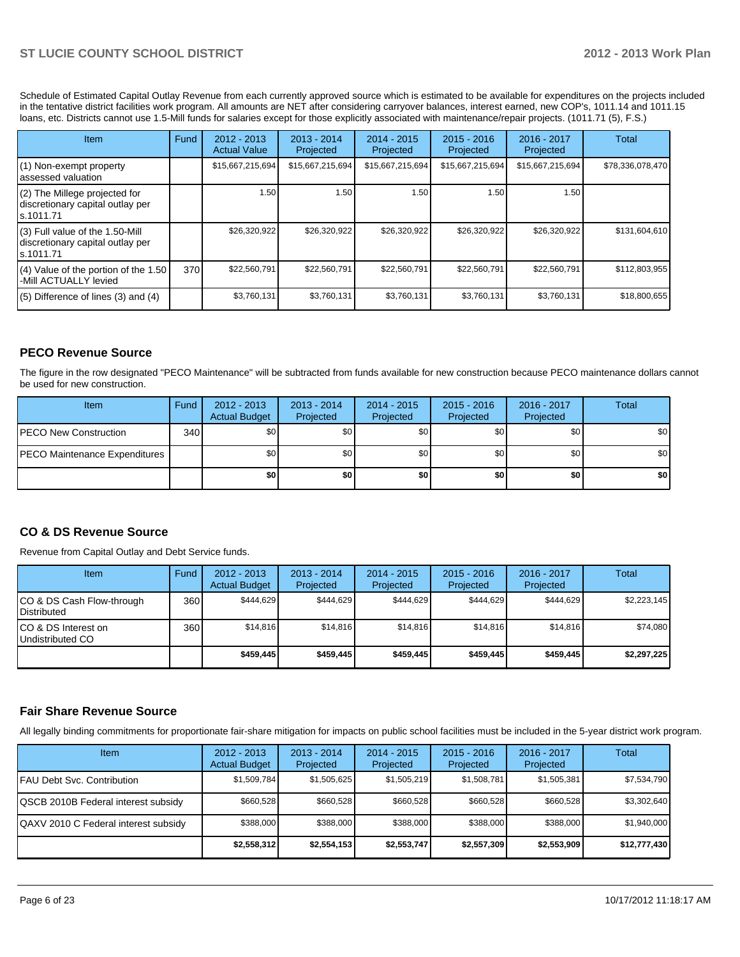Schedule of Estimated Capital Outlay Revenue from each currently approved source which is estimated to be available for expenditures on the projects included in the tentative district facilities work program. All amounts are NET after considering carryover balances, interest earned, new COP's, 1011.14 and 1011.15 loans, etc. Districts cannot use 1.5-Mill funds for salaries except for those explicitly associated with maintenance/repair projects. (1011.71 (5), F.S.)

| Item                                                                                | Fund | $2012 - 2013$<br><b>Actual Value</b> | $2013 - 2014$<br>Projected | $2014 - 2015$<br>Projected | $2015 - 2016$<br>Projected | 2016 - 2017<br>Projected | Total            |
|-------------------------------------------------------------------------------------|------|--------------------------------------|----------------------------|----------------------------|----------------------------|--------------------------|------------------|
| (1) Non-exempt property<br>lassessed valuation                                      |      | \$15,667,215,694                     | \$15,667,215,694           | \$15,667,215,694           | \$15,667,215,694           | \$15,667,215,694         | \$78,336,078,470 |
| (2) The Millege projected for<br>discretionary capital outlay per<br>ls.1011.71     |      | 1.50                                 | 1.50                       | 1.50                       | 1.50                       | 1.50                     |                  |
| $(3)$ Full value of the 1.50-Mill<br>discretionary capital outlay per<br>ls.1011.71 |      | \$26,320,922                         | \$26,320,922               | \$26,320,922               | \$26,320,922               | \$26,320,922             | \$131,604,610    |
| $(4)$ Value of the portion of the 1.50<br>-Mill ACTUALLY levied                     | 370  | \$22,560,791                         | \$22,560,791               | \$22,560,791               | \$22,560,791               | \$22,560,791             | \$112,803,955    |
| $(5)$ Difference of lines $(3)$ and $(4)$                                           |      | \$3,760,131                          | \$3,760,131                | \$3,760,131                | \$3,760,131                | \$3,760,131              | \$18,800,655     |

## **PECO Revenue Source**

The figure in the row designated "PECO Maintenance" will be subtracted from funds available for new construction because PECO maintenance dollars cannot be used for new construction.

| <b>Item</b>                           | Fund | $2012 - 2013$<br><b>Actual Budget</b> | $2013 - 2014$<br>Projected | $2014 - 2015$<br>Projected | $2015 - 2016$<br>Projected | 2016 - 2017<br>Projected | <b>Total</b> |
|---------------------------------------|------|---------------------------------------|----------------------------|----------------------------|----------------------------|--------------------------|--------------|
| <b>IPECO New Construction</b>         | 340  | \$0 <sub>1</sub>                      | \$0 <sub>1</sub>           | \$0                        | \$0 <sub>0</sub>           | \$0                      | \$0          |
| <b>IPECO Maintenance Expenditures</b> |      | \$0 <sub>1</sub>                      | \$0 <sub>1</sub>           | \$0                        | \$0                        | \$0 <sub>1</sub>         | \$0          |
|                                       |      | \$0                                   | \$0                        | \$0                        | \$0                        | \$0                      | \$0          |

#### **CO & DS Revenue Source**

Revenue from Capital Outlay and Debt Service funds.

| <b>Item</b>                                      | Fund | $2012 - 2013$<br><b>Actual Budget</b> | $2013 - 2014$<br>Projected | 2014 - 2015<br>Projected | $2015 - 2016$<br>Projected | $2016 - 2017$<br>Projected | Total       |
|--------------------------------------------------|------|---------------------------------------|----------------------------|--------------------------|----------------------------|----------------------------|-------------|
| ICO & DS Cash Flow-through<br><b>Distributed</b> | 360  | \$444.629                             | \$444.629                  | \$444.629                | \$444.629                  | \$444.629                  | \$2,223,145 |
| ICO & DS Interest on<br>Undistributed CO         | 360  | \$14.816                              | \$14,816                   | \$14.816                 | \$14.816                   | \$14.816                   | \$74,080    |
|                                                  |      | \$459,445                             | \$459,445                  | \$459.445                | \$459.445                  | \$459,445                  | \$2,297,225 |

#### **Fair Share Revenue Source**

All legally binding commitments for proportionate fair-share mitigation for impacts on public school facilities must be included in the 5-year district work program.

| <b>Item</b>                          | $2012 - 2013$<br><b>Actual Budget</b> | $2013 - 2014$<br>Projected | $2014 - 2015$<br>Projected | $2015 - 2016$<br>Projected | $2016 - 2017$<br>Projected | Total        |
|--------------------------------------|---------------------------------------|----------------------------|----------------------------|----------------------------|----------------------------|--------------|
| IFAU Debt Svc. Contribution          | \$1,509,784                           | \$1,505,625                | \$1,505,219                | \$1,508,781                | \$1,505,381                | \$7,534,790  |
| QSCB 2010B Federal interest subsidy  | \$660,528                             | \$660,528                  | \$660.528                  | \$660,528                  | \$660,528                  | \$3,302,640  |
| QAXV 2010 C Federal interest subsidy | \$388,000                             | \$388,000                  | \$388,000                  | \$388,000                  | \$388,000                  | \$1,940,000  |
|                                      | \$2.558.312                           | \$2,554,153                | \$2,553,747                | \$2,557,309                | \$2,553,909                | \$12,777,430 |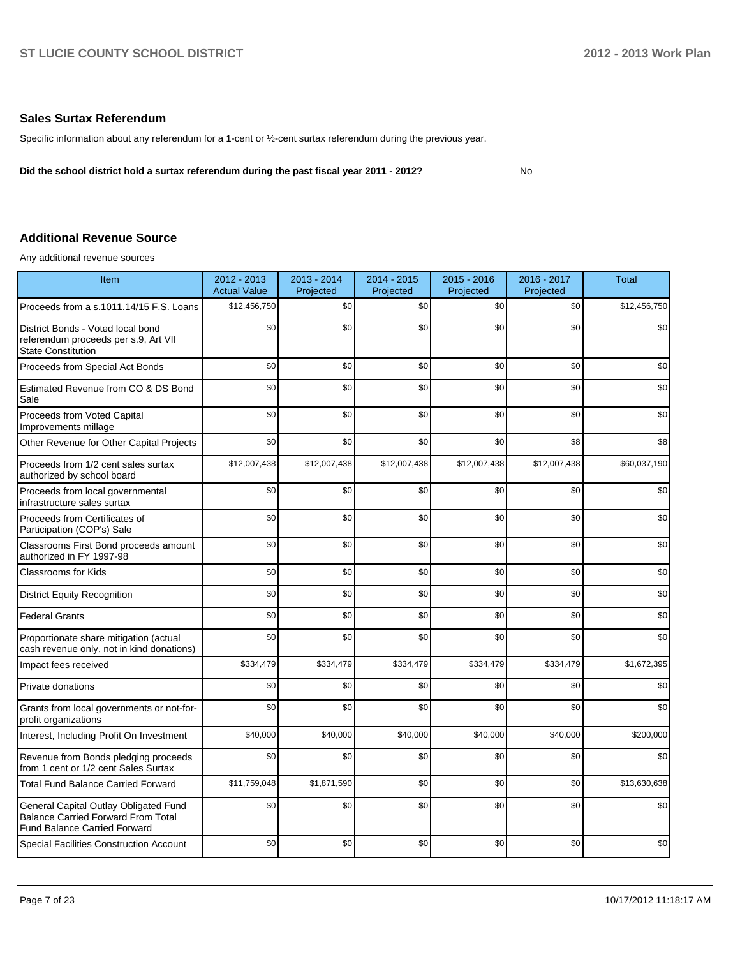No

#### **Sales Surtax Referendum**

Specific information about any referendum for a 1-cent or ½-cent surtax referendum during the previous year.

**Did the school district hold a surtax referendum during the past fiscal year 2011 - 2012?**

#### **Additional Revenue Source**

Any additional revenue sources

| Item                                                                                                                      | 2012 - 2013<br><b>Actual Value</b> | 2013 - 2014<br>Projected | $2014 - 2015$<br>Projected | 2015 - 2016<br>Projected | 2016 - 2017<br>Projected | <b>Total</b> |
|---------------------------------------------------------------------------------------------------------------------------|------------------------------------|--------------------------|----------------------------|--------------------------|--------------------------|--------------|
| Proceeds from a s.1011.14/15 F.S. Loans                                                                                   | \$12,456,750                       | \$0                      | \$0                        | \$0                      | \$0                      | \$12,456,750 |
| District Bonds - Voted local bond<br>referendum proceeds per s.9, Art VII<br><b>State Constitution</b>                    | \$0                                | \$0                      | \$0                        | \$0                      | \$0                      | \$0          |
| Proceeds from Special Act Bonds                                                                                           | \$0                                | \$0                      | \$0                        | \$0                      | \$0                      | \$0          |
| Estimated Revenue from CO & DS Bond<br>Sale                                                                               | \$0                                | \$0                      | \$0                        | \$0                      | \$0                      | \$0          |
| Proceeds from Voted Capital<br>Improvements millage                                                                       | \$0                                | \$0                      | \$0                        | \$0                      | \$0                      | \$0          |
| Other Revenue for Other Capital Projects                                                                                  | \$0                                | \$0                      | \$0                        | \$0                      | \$8                      | \$8          |
| Proceeds from 1/2 cent sales surtax<br>authorized by school board                                                         | \$12,007,438                       | \$12,007,438             | \$12,007,438               | \$12,007,438             | \$12,007,438             | \$60,037,190 |
| Proceeds from local governmental<br>infrastructure sales surtax                                                           | \$0                                | \$0                      | \$0                        | \$0                      | \$0                      | \$0          |
| Proceeds from Certificates of<br>Participation (COP's) Sale                                                               | \$0                                | \$0                      | \$0                        | \$0                      | \$0                      | \$0          |
| Classrooms First Bond proceeds amount<br>authorized in FY 1997-98                                                         | \$0                                | \$0                      | \$0                        | \$0                      | \$0                      | \$0          |
| <b>Classrooms for Kids</b>                                                                                                | \$0                                | \$0                      | \$0                        | \$0                      | \$0                      | \$0          |
| <b>District Equity Recognition</b>                                                                                        | \$0                                | \$0                      | \$0                        | \$0                      | \$0                      | \$0          |
| <b>Federal Grants</b>                                                                                                     | \$0                                | \$0                      | \$0                        | \$0                      | \$0                      | \$0          |
| Proportionate share mitigation (actual<br>cash revenue only, not in kind donations)                                       | \$0                                | \$0                      | \$0                        | \$0                      | \$0                      | \$0          |
| Impact fees received                                                                                                      | \$334,479                          | \$334,479                | \$334,479                  | \$334,479                | \$334,479                | \$1,672,395  |
| Private donations                                                                                                         | \$0                                | \$0                      | \$0                        | \$0                      | \$0                      | \$0          |
| Grants from local governments or not-for-<br>profit organizations                                                         | \$0                                | \$0                      | \$0                        | \$0                      | \$0                      | \$0          |
| Interest, Including Profit On Investment                                                                                  | \$40,000                           | \$40,000                 | \$40,000                   | \$40,000                 | \$40,000                 | \$200,000    |
| Revenue from Bonds pledging proceeds<br>from 1 cent or 1/2 cent Sales Surtax                                              | \$0                                | \$0                      | \$0                        | \$0                      | \$0                      | \$0          |
| <b>Total Fund Balance Carried Forward</b>                                                                                 | \$11,759,048                       | \$1,871,590              | \$0                        | \$0                      | \$0                      | \$13,630,638 |
| General Capital Outlay Obligated Fund<br><b>Balance Carried Forward From Total</b><br><b>Fund Balance Carried Forward</b> | \$0                                | \$0                      | \$0                        | \$0                      | \$0                      | \$0          |
| <b>Special Facilities Construction Account</b>                                                                            | \$0                                | \$0                      | \$0                        | \$0                      | \$0                      | \$0          |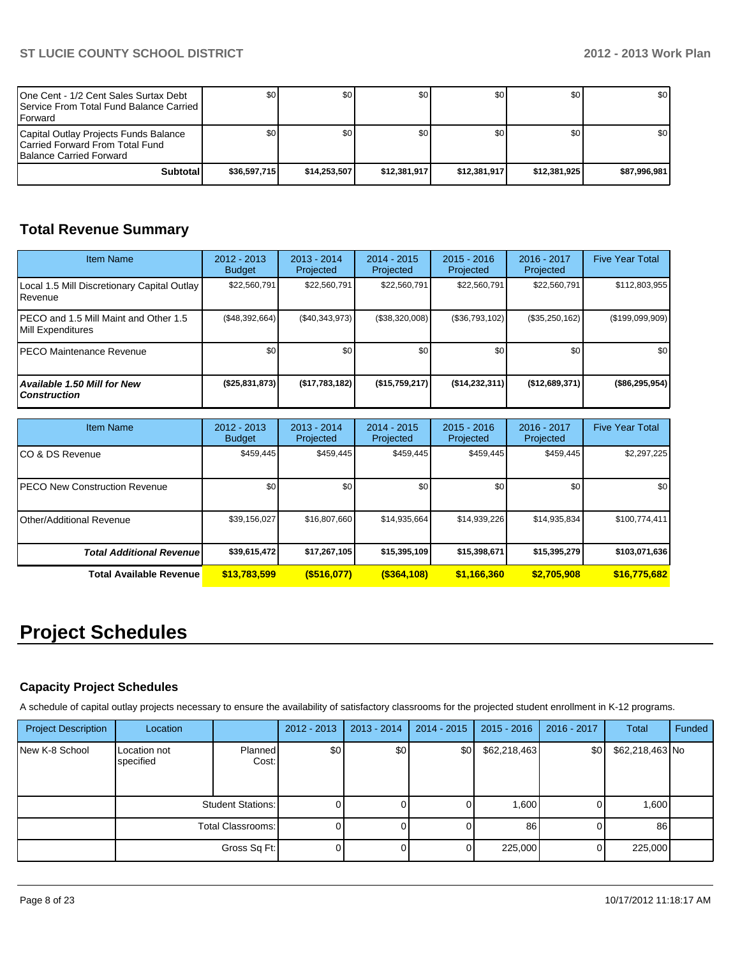| One Cent - 1/2 Cent Sales Surtax Debt<br><b>I</b> Service From Total Fund Balance Carried I<br><b>IForward</b> | \$0          | \$0          | \$0          | \$0 <sub>0</sub> | \$0          | \$0 <sub>1</sub> |
|----------------------------------------------------------------------------------------------------------------|--------------|--------------|--------------|------------------|--------------|------------------|
| Capital Outlay Projects Funds Balance<br>ICarried Forward From Total Fund<br><b>Balance Carried Forward</b>    | \$0          | \$0          | \$0          | \$0 <sub>0</sub> | \$0          | \$0 <sub>1</sub> |
| Subtotal                                                                                                       | \$36.597.715 | \$14.253.507 | \$12.381.917 | \$12.381.917     | \$12.381.925 | \$87.996.981     |

# **Total Revenue Summary**

| <b>Item Name</b>                                            | $2012 - 2013$<br><b>Budget</b> | $2013 - 2014$<br>Projected | $2014 - 2015$<br>Projected | $2015 - 2016$<br>Projected | $2016 - 2017$<br>Projected | <b>Five Year Total</b> |
|-------------------------------------------------------------|--------------------------------|----------------------------|----------------------------|----------------------------|----------------------------|------------------------|
| Local 1.5 Mill Discretionary Capital Outlay<br>l Revenue    | \$22,560,791                   | \$22,560,791               | \$22,560,791               | \$22,560,791               | \$22,560,791               | \$112,803,955          |
| IPECO and 1.5 Mill Maint and Other 1.5<br>Mill Expenditures | (S48, 392, 664)                | (S40, 343, 973)            | (\$38,320,008)             | (\$36,793,102)             | (\$35,250,162)             | (\$199,099,909)        |
| IPECO Maintenance Revenue                                   | \$0                            | \$0 <sub>1</sub>           | \$0                        | \$0                        | \$0                        | \$0 <sub>1</sub>       |
| <b>Available 1.50 Mill for New</b><br><b>Construction</b>   | (\$25,831,873)                 | $($ \$17,783,182)          | (S15,759,217)              | (S14, 232, 311)            | $($ \$12,689,371)          | $($ \$86,295,954)      |

| <b>Item Name</b>                      | 2012 - 2013<br><b>Budget</b> | $2013 - 2014$<br>Projected | $2014 - 2015$<br>Projected | $2015 - 2016$<br>Projected | 2016 - 2017<br>Projected | <b>Five Year Total</b> |
|---------------------------------------|------------------------------|----------------------------|----------------------------|----------------------------|--------------------------|------------------------|
| ICO & DS Revenue                      | \$459.445                    | \$459,445                  | \$459.445                  | \$459,445                  | \$459,445                | \$2,297,225            |
| <b>IPECO New Construction Revenue</b> | \$0 <sub>1</sub>             | \$0                        | \$0                        | \$0                        | \$0                      | \$0                    |
| <b>I</b> Other/Additional Revenue     | \$39,156,027                 | \$16,807,660               | \$14,935,664               | \$14,939,226               | \$14,935,834             | \$100,774,411          |
| <b>Total Additional Revenuel</b>      | \$39,615,472                 | \$17,267,105               | \$15,395,109               | \$15,398,671               | \$15,395,279             | \$103,071,636          |
| <b>Total Available Revenue</b>        | \$13,783,599                 | $($ \$516,077)             | $($ \$364,108)             | \$1,166,360                | \$2,705,908              | \$16,775,682           |

# **Project Schedules**

## **Capacity Project Schedules**

A schedule of capital outlay projects necessary to ensure the availability of satisfactory classrooms for the projected student enrollment in K-12 programs.

| <b>Project Description</b> | Location                  |                          | $2012 - 2013$ | $2013 - 2014$ | $2014 - 2015$ | $2015 - 2016$ | 2016 - 2017 | <b>Total</b>    | Funded |
|----------------------------|---------------------------|--------------------------|---------------|---------------|---------------|---------------|-------------|-----------------|--------|
| New K-8 School             | Location not<br>specified | <b>Planned</b><br>Cost:  | \$0           | \$0           | \$0           | \$62,218,463  | \$0         | \$62,218,463 No |        |
|                            |                           | <b>Student Stations:</b> |               |               |               | 1,600         |             | 1,600           |        |
|                            | <b>Total Classrooms:</b>  |                          |               |               |               | 86            |             | 86              |        |
|                            |                           | Gross Sq Ft:             |               |               |               | 225,000       |             | 225,000         |        |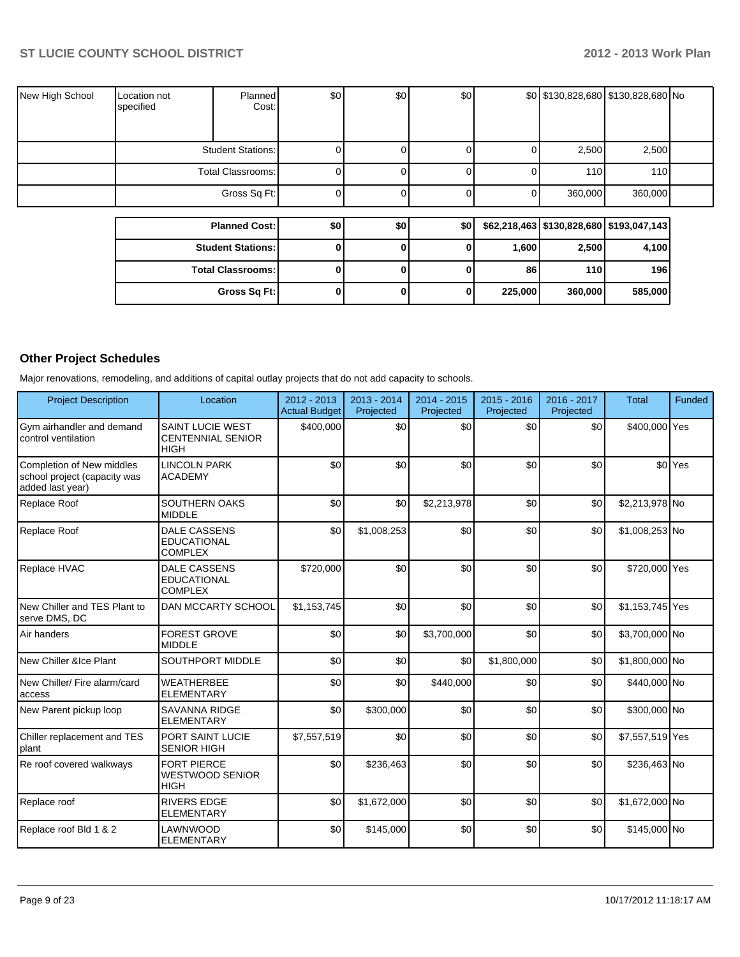| New High School | Location not<br>specified | <b>Planned</b><br>Cost:  | \$0 | \$0 | <b>\$0</b> |                  | $$0$ \$130,828,680 \$130,828,680 No |  |
|-----------------|---------------------------|--------------------------|-----|-----|------------|------------------|-------------------------------------|--|
|                 |                           | <b>Student Stations:</b> |     |     |            | 2,500            | 2,500                               |  |
|                 |                           | Total Classrooms:        |     |     |            | 110 <sup>1</sup> | 110                                 |  |
|                 |                           | Gross Sq Ft:             |     |     |            | 360,000          | 360,000                             |  |

| <b>Planned Cost:</b>     | \$0 | \$0 | \$O |         |            | \$62,218,463   \$130,828,680   \$193,047,143 |
|--------------------------|-----|-----|-----|---------|------------|----------------------------------------------|
| <b>Student Stations:</b> |     |     |     | 1,600   | 2,500      | 4,100                                        |
| <b>Total Classrooms:</b> |     |     |     | 86      | <b>110</b> | 196                                          |
| Gross Sq Ft:             |     |     |     | 225,000 | 360,000    | 585,000                                      |

## **Other Project Schedules**

Major renovations, remodeling, and additions of capital outlay projects that do not add capacity to schools.

| <b>Project Description</b>                                                    | Location                                                           | $2012 - 2013$<br><b>Actual Budget</b> | 2013 - 2014<br>Projected | 2014 - 2015<br>Projected | 2015 - 2016<br>Projected | 2016 - 2017<br>Projected | <b>Total</b>    | Funded             |
|-------------------------------------------------------------------------------|--------------------------------------------------------------------|---------------------------------------|--------------------------|--------------------------|--------------------------|--------------------------|-----------------|--------------------|
| Gym airhandler and demand<br>control ventilation                              | <b>SAINT LUCIE WEST</b><br><b>CENTENNIAL SENIOR</b><br><b>HIGH</b> | \$400,000                             | \$0                      | \$0                      | \$0                      | \$0                      | \$400,000 Yes   |                    |
| Completion of New middles<br>school project (capacity was<br>added last year) | <b>LINCOLN PARK</b><br><b>ACADEMY</b>                              | \$0                                   | \$0                      | \$0                      | \$0                      | \$0                      |                 | \$0 <sup>Yes</sup> |
| Replace Roof                                                                  | SOUTHERN OAKS<br><b>MIDDLE</b>                                     | \$0                                   | \$0                      | \$2,213,978              | \$0                      | \$0                      | \$2,213,978 No  |                    |
| Replace Roof                                                                  | <b>DALE CASSENS</b><br><b>EDUCATIONAL</b><br><b>COMPLEX</b>        | \$0                                   | \$1,008,253              | \$0                      | \$0                      | \$0                      | \$1,008,253 No  |                    |
| Replace HVAC                                                                  | <b>DALE CASSENS</b><br><b>EDUCATIONAL</b><br><b>COMPLEX</b>        | \$720,000                             | \$0                      | \$0                      | \$0                      | \$0                      | \$720,000 Yes   |                    |
| New Chiller and TES Plant to<br>serve DMS, DC                                 | <b>DAN MCCARTY SCHOOL</b>                                          | \$1,153,745                           | \$0                      | \$0                      | \$0                      | \$0                      | \$1,153,745 Yes |                    |
| Air handers                                                                   | <b>FOREST GROVE</b><br><b>MIDDLE</b>                               | \$0                                   | \$0                      | \$3,700,000              | \$0                      | \$0                      | \$3,700,000 No  |                    |
| New Chiller &Ice Plant                                                        | SOUTHPORT MIDDLE                                                   | \$0                                   | \$0                      | \$0                      | \$1,800,000              | \$0                      | \$1,800,000 No  |                    |
| New Chiller/ Fire alarm/card<br>access                                        | <b>WEATHERBEE</b><br><b>ELEMENTARY</b>                             | \$0                                   | \$0                      | \$440,000                | \$0                      | \$0                      | \$440,000 No    |                    |
| New Parent pickup loop                                                        | <b>SAVANNA RIDGE</b><br><b>ELEMENTARY</b>                          | \$0                                   | \$300,000                | \$0                      | \$0                      | \$0                      | \$300,000 No    |                    |
| Chiller replacement and TES<br>plant                                          | PORT SAINT LUCIE<br><b>SENIOR HIGH</b>                             | \$7,557,519                           | \$0                      | \$0                      | \$0                      | \$0                      | \$7,557,519 Yes |                    |
| Re roof covered walkways                                                      | <b>FORT PIERCE</b><br><b>WESTWOOD SENIOR</b><br><b>HIGH</b>        | \$0                                   | \$236,463                | \$0                      | \$0                      | \$0                      | \$236,463 No    |                    |
| Replace roof                                                                  | <b>RIVERS EDGE</b><br><b>ELEMENTARY</b>                            | \$0                                   | \$1,672,000              | \$0                      | \$0                      | \$0                      | \$1,672,000 No  |                    |
| Replace roof Bld 1 & 2                                                        | LAWNWOOD<br><b>ELEMENTARY</b>                                      | \$0                                   | \$145,000                | \$0                      | \$0                      | \$0                      | \$145,000 No    |                    |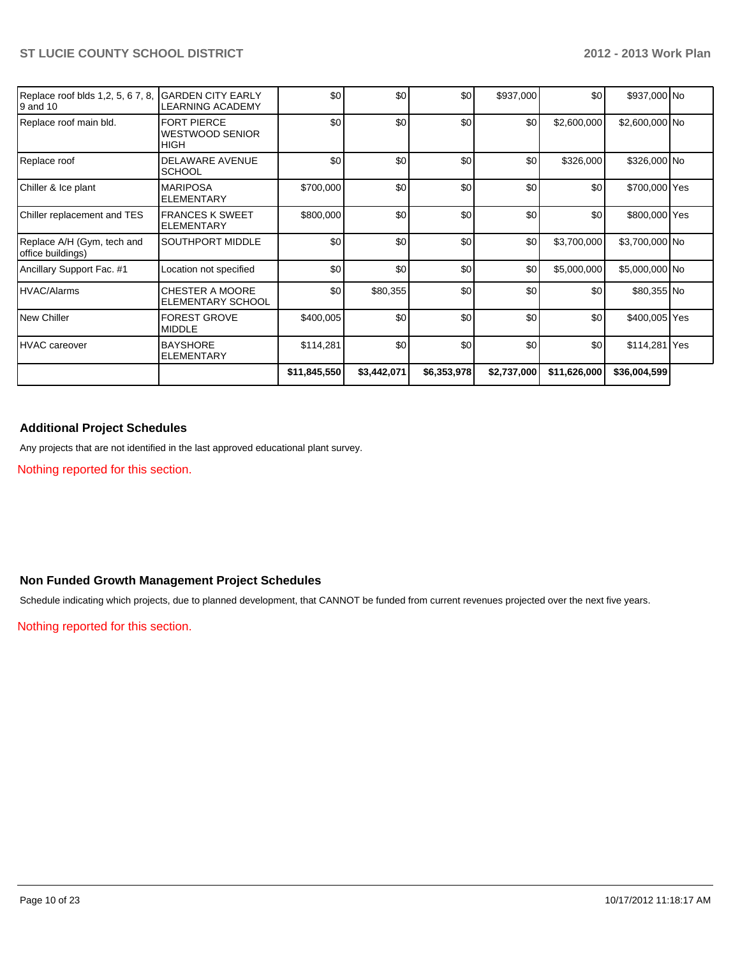| Replace roof blds 1,2, 5, 67, 8,<br>I9 and 10   | <b>GARDEN CITY EARLY</b><br>LEARNING ACADEMY                | \$0          | \$0         | \$0         | \$937,000   | \$0          | \$937,000 No   |  |
|-------------------------------------------------|-------------------------------------------------------------|--------------|-------------|-------------|-------------|--------------|----------------|--|
| Replace roof main bld.                          | <b>FORT PIERCE</b><br><b>WESTWOOD SENIOR</b><br><b>HIGH</b> | \$0          | \$0         | \$0         | \$0         | \$2,600,000  | \$2,600,000 No |  |
| Replace roof                                    | <b>DELAWARE AVENUE</b><br><b>SCHOOL</b>                     | \$0          | \$0         | \$0         | \$0         | \$326,000    | \$326,000 No   |  |
| Chiller & Ice plant                             | <b>MARIPOSA</b><br><b>ELEMENTARY</b>                        | \$700,000    | \$0         | \$0         | \$0         | \$0          | \$700,000 Yes  |  |
| Chiller replacement and TES                     | <b>FRANCES K SWEET</b><br><b>ELEMENTARY</b>                 | \$800,000    | \$0         | \$0         | \$0         | \$0          | \$800,000 Yes  |  |
| Replace A/H (Gym, tech and<br>office buildings) | <b>SOUTHPORT MIDDLE</b>                                     | \$0          | \$0         | \$0         | \$0         | \$3,700,000  | \$3,700,000 No |  |
| Ancillary Support Fac. #1                       | Location not specified                                      | \$0          | \$0         | \$0         | \$0         | \$5,000,000  | \$5,000,000 No |  |
| <b>IHVAC/Alarms</b>                             | <b>CHESTER A MOORE</b><br><b>ELEMENTARY SCHOOL</b>          | \$0          | \$80,355    | \$0         | \$0         | \$0          | \$80,355 No    |  |
| l New Chiller                                   | <b>FOREST GROVE</b><br><b>MIDDLE</b>                        | \$400,005    | \$0         | \$0         | \$0         | \$0          | \$400,005 Yes  |  |
| IHVAC careover                                  | <b>BAYSHORE</b><br><b>ELEMENTARY</b>                        | \$114,281    | \$0         | \$0         | \$0         | \$0          | \$114,281 Yes  |  |
|                                                 |                                                             | \$11,845,550 | \$3,442,071 | \$6,353,978 | \$2,737,000 | \$11,626,000 | \$36,004,599   |  |

## **Additional Project Schedules**

Any projects that are not identified in the last approved educational plant survey.

Nothing reported for this section.

## **Non Funded Growth Management Project Schedules**

Schedule indicating which projects, due to planned development, that CANNOT be funded from current revenues projected over the next five years.

Nothing reported for this section.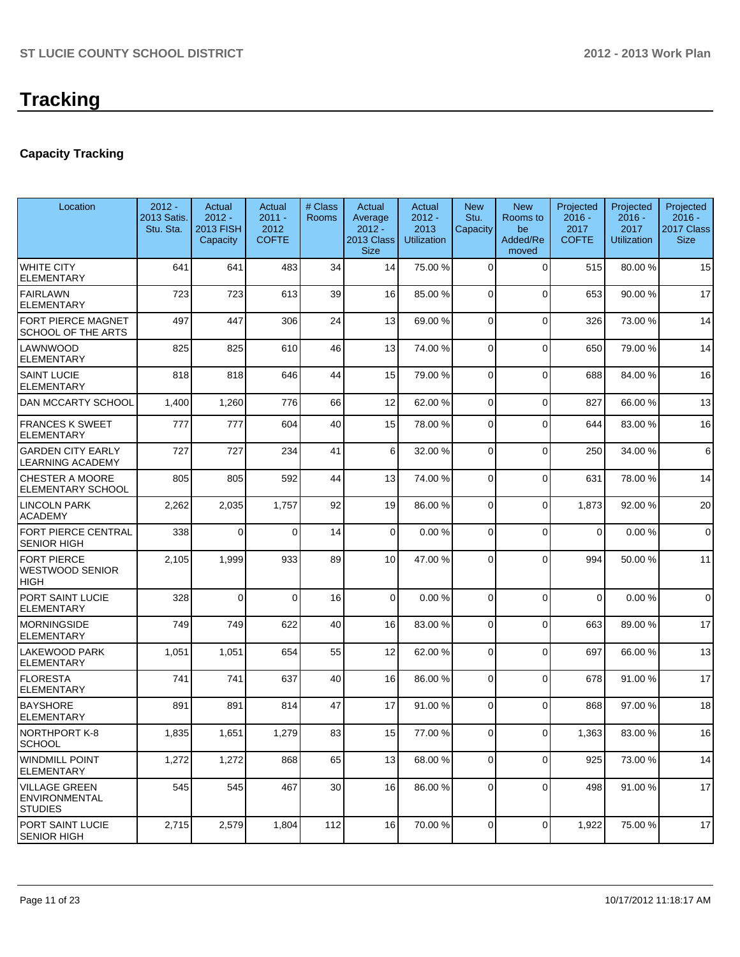## **Capacity Tracking**

| Location                                                    | $2012 -$<br><b>2013 Satis.</b><br>Stu. Sta. | Actual<br>$2012 -$<br>2013 FISH<br>Capacity | Actual<br>$2011 -$<br>2012<br><b>COFTE</b> | # Class<br><b>Rooms</b> | Actual<br>Average<br>$2012 -$<br>2013 Class<br><b>Size</b> | Actual<br>$2012 -$<br>2013<br><b>Utilization</b> | <b>New</b><br>Stu.<br>Capacity | <b>New</b><br>Rooms to<br>be<br>Added/Re<br>moved | Projected<br>$2016 -$<br>2017<br><b>COFTE</b> | Projected<br>$2016 -$<br>2017<br><b>Utilization</b> | Projected<br>$2016 -$<br>2017 Class<br><b>Size</b> |
|-------------------------------------------------------------|---------------------------------------------|---------------------------------------------|--------------------------------------------|-------------------------|------------------------------------------------------------|--------------------------------------------------|--------------------------------|---------------------------------------------------|-----------------------------------------------|-----------------------------------------------------|----------------------------------------------------|
| WHITE CITY<br>ELEMENTARY                                    | 641                                         | 641                                         | 483                                        | 34                      | 14                                                         | 75.00 %                                          | $\Omega$                       | $\Omega$                                          | 515                                           | 80.00%                                              | 15                                                 |
| <b>FAIRLAWN</b><br><b>ELEMENTARY</b>                        | 723                                         | 723                                         | 613                                        | 39                      | 16                                                         | 85.00 %                                          | 0                              | $\Omega$                                          | 653                                           | 90.00%                                              | 17                                                 |
| FORT PIERCE MAGNET<br><b>SCHOOL OF THE ARTS</b>             | 497                                         | 447                                         | 306                                        | 24                      | 13                                                         | 69.00 %                                          | $\Omega$                       | $\Omega$                                          | 326                                           | 73.00 %                                             | 14                                                 |
| LAWNWOOD<br><b>ELEMENTARY</b>                               | 825                                         | 825                                         | 610                                        | 46                      | 13                                                         | 74.00 %                                          | $\Omega$                       | $\Omega$                                          | 650                                           | 79.00 %                                             | 14                                                 |
| <b>SAINT LUCIE</b><br><b>ELEMENTARY</b>                     | 818                                         | 818                                         | 646                                        | 44                      | 15                                                         | 79.00 %                                          | $\Omega$                       | $\Omega$                                          | 688                                           | 84.00%                                              | 16                                                 |
| DAN MCCARTY SCHOOL                                          | 1,400                                       | 1,260                                       | 776                                        | 66                      | 12                                                         | 62.00 %                                          | $\Omega$                       | $\Omega$                                          | 827                                           | 66.00 %                                             | 13                                                 |
| <b>FRANCES K SWEET</b><br><b>ELEMENTARY</b>                 | 777                                         | 777                                         | 604                                        | 40                      | 15                                                         | 78.00 %                                          | $\Omega$                       | $\Omega$                                          | 644                                           | 83.00 %                                             | 16                                                 |
| <b>GARDEN CITY EARLY</b><br><b>LEARNING ACADEMY</b>         | 727                                         | 727                                         | 234                                        | 41                      | 6                                                          | 32.00 %                                          | $\Omega$                       | $\Omega$                                          | 250                                           | 34.00 %                                             | 6                                                  |
| CHESTER A MOORE<br><b>ELEMENTARY SCHOOL</b>                 | 805                                         | 805                                         | 592                                        | 44                      | 13                                                         | 74.00 %                                          | 0                              | $\Omega$                                          | 631                                           | 78.00 %                                             | 14                                                 |
| <b>LINCOLN PARK</b><br><b>ACADEMY</b>                       | 2,262                                       | 2,035                                       | 1,757                                      | 92                      | 19                                                         | 86.00 %                                          | $\Omega$                       | $\Omega$                                          | 1,873                                         | 92.00 %                                             | 20                                                 |
| <b>FORT PIERCE CENTRAL</b><br><b>SENIOR HIGH</b>            | 338                                         | 0                                           | $\Omega$                                   | 14                      | 0                                                          | 0.00%                                            | 0                              | $\Omega$                                          | $\mathbf 0$                                   | 0.00%                                               | $\mathbf 0$                                        |
| <b>FORT PIERCE</b><br><b>WESTWOOD SENIOR</b><br><b>HIGH</b> | 2,105                                       | 1,999                                       | 933                                        | 89                      | 10                                                         | 47.00 %                                          | $\Omega$                       | $\Omega$                                          | 994                                           | 50.00 %                                             | 11                                                 |
| PORT SAINT LUCIE<br><b>ELEMENTARY</b>                       | 328                                         | 0                                           | $\Omega$                                   | 16                      | 0                                                          | 0.00%                                            | 0                              | $\Omega$                                          | $\Omega$                                      | 0.00%                                               | $\mathbf 0$                                        |
| <b>MORNINGSIDE</b><br><b>ELEMENTARY</b>                     | 749                                         | 749                                         | 622                                        | 40                      | 16                                                         | 83.00 %                                          | $\Omega$                       | $\Omega$                                          | 663                                           | 89.00 %                                             | 17                                                 |
| <b>LAKEWOOD PARK</b><br>ELEMENTARY                          | 1,051                                       | 1,051                                       | 654                                        | 55                      | 12                                                         | 62.00 %                                          | $\overline{0}$                 | $\Omega$                                          | 697                                           | 66.00 %                                             | 13                                                 |
| <b>IFLORESTA</b><br><b>ELEMENTARY</b>                       | 741                                         | 741                                         | 637                                        | 40                      | 16                                                         | 86.00 %                                          | 0                              | $\Omega$                                          | 678                                           | 91.00%                                              | 17                                                 |
| BAYSHORE<br><b>ELEMENTARY</b>                               | 891                                         | 891                                         | 814                                        | 47                      | 17                                                         | 91.00 %                                          | $\Omega$                       | $\Omega$                                          | 868                                           | 97.00 %                                             | 18                                                 |
| NORTHPORT K-8<br> SCHOOL                                    | 1,835                                       | 1,651                                       | 1,279                                      | 83                      | 15                                                         | 77.00 %                                          | $\overline{0}$                 | $\overline{0}$                                    | 1,363                                         | 83.00 %                                             | 16                                                 |
| <b>WINDMILL POINT</b><br><b>ELEMENTARY</b>                  | 1,272                                       | 1,272                                       | 868                                        | 65                      | 13                                                         | 68.00 %                                          | 0                              | $\overline{0}$                                    | 925                                           | 73.00 %                                             | 14                                                 |
| VILLAGE GREEN<br><b>ENVIRONMENTAL</b><br><b>STUDIES</b>     | 545                                         | 545                                         | 467                                        | 30                      | 16                                                         | 86.00 %                                          | 0                              | 0                                                 | 498                                           | 91.00%                                              | 17                                                 |
| PORT SAINT LUCIE<br><b>SENIOR HIGH</b>                      | 2,715                                       | 2,579                                       | 1,804                                      | 112                     | 16                                                         | 70.00 %                                          | 0                              | $\overline{0}$                                    | 1,922                                         | 75.00 %                                             | 17                                                 |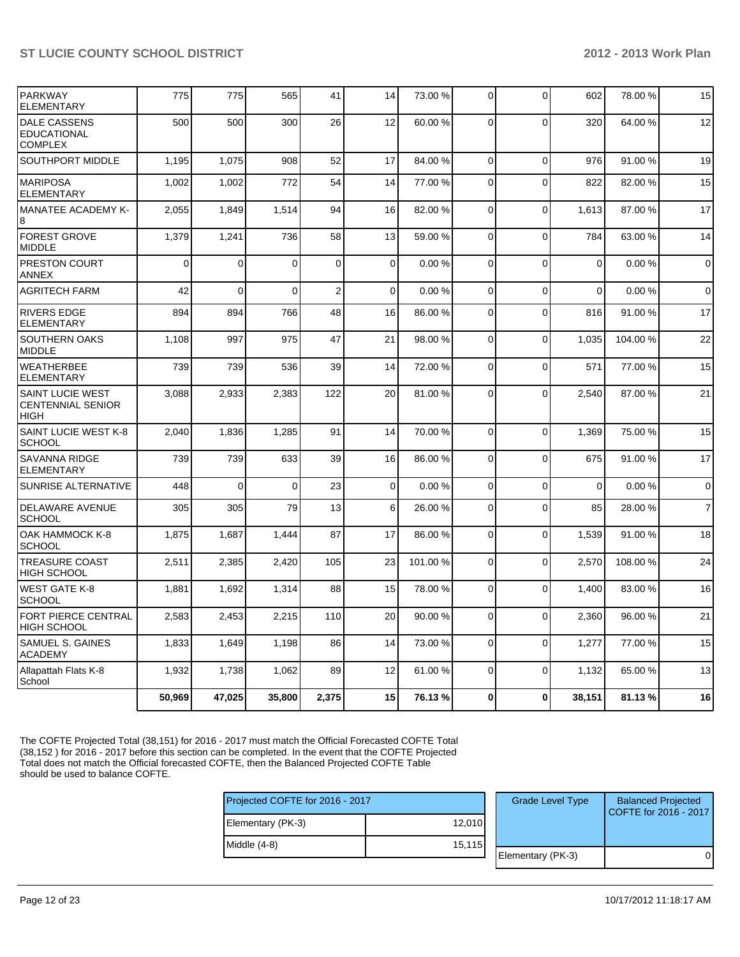| <b>PARKWAY</b><br><b>ELEMENTARY</b>                                | 775      | 775            | 565      | 41          | 14             | 73.00 %  | $\Omega$       | 0              | 602         | 78.00 % | 15             |
|--------------------------------------------------------------------|----------|----------------|----------|-------------|----------------|----------|----------------|----------------|-------------|---------|----------------|
| <b>DALE CASSENS</b><br><b>EDUCATIONAL</b><br><b>COMPLEX</b>        | 500      | 500            | 300      | 26          | 12             | 60.00 %  | $\Omega$       | $\overline{0}$ | 320         | 64.00%  | 12             |
| SOUTHPORT MIDDLE                                                   | 1.195    | 1,075          | 908      | 52          | 17             | 84.00 %  | $\Omega$       | $\Omega$       | 976         | 91.00%  | 19             |
| <b>MARIPOSA</b><br><b>ELEMENTARY</b>                               | 1,002    | 1,002          | 772      | 54          | 14             | 77.00 %  | $\Omega$       | $\Omega$       | 822         | 82.00%  | 15             |
| <b>MANATEE ACADEMY K-</b><br>8                                     | 2,055    | 1,849          | 1,514    | 94          | 16             | 82.00 %  | $\Omega$       | $\mathbf 0$    | 1,613       | 87.00 % | 17             |
| <b>FOREST GROVE</b><br><b>MIDDLE</b>                               | 1,379    | 1,241          | 736      | 58          | 13             | 59.00 %  | $\Omega$       | $\overline{0}$ | 784         | 63.00 % | 14             |
| PRESTON COURT<br><b>ANNEX</b>                                      | $\Omega$ | 0              | $\Omega$ | $\mathbf 0$ | 0              | 0.00%    | $\Omega$       | $\mathbf 0$    | $\mathbf 0$ | 0.00%   | $\overline{0}$ |
| <b>AGRITECH FARM</b>                                               | 42       | $\Omega$       | $\Omega$ | 2           | $\Omega$       | 0.00%    | $\Omega$       | $\Omega$       | $\Omega$    | 0.00%   | $\mathbf 0$    |
| <b>RIVERS EDGE</b><br><b>ELEMENTARY</b>                            | 894      | 894            | 766      | 48          | 16             | 86.00 %  | $\Omega$       | $\Omega$       | 816         | 91.00%  | 17             |
| SOUTHERN OAKS<br><b>MIDDLE</b>                                     | 1,108    | 997            | 975      | 47          | 21             | 98.00 %  | $\Omega$       | $\Omega$       | 1,035       | 104.00% | 22             |
| <b>WEATHERBEE</b><br><b>ELEMENTARY</b>                             | 739      | 739            | 536      | 39          | 14             | 72.00 %  | $\Omega$       | $\Omega$       | 571         | 77.00 % | 15             |
| <b>SAINT LUCIE WEST</b><br><b>CENTENNIAL SENIOR</b><br><b>HIGH</b> | 3,088    | 2,933          | 2,383    | 122         | 20             | 81.00 %  | $\Omega$       | $\overline{0}$ | 2,540       | 87.00 % | 21             |
| SAINT LUCIE WEST K-8<br><b>SCHOOL</b>                              | 2,040    | 1,836          | 1,285    | 91          | 14             | 70.00%   | $\Omega$       | $\mathbf 0$    | 1,369       | 75.00 % | 15             |
| <b>SAVANNA RIDGE</b><br><b>ELEMENTARY</b>                          | 739      | 739            | 633      | 39          | 16             | 86.00 %  | $\Omega$       | $\overline{0}$ | 675         | 91.00%  | 17             |
| SUNRISE ALTERNATIVE                                                | 448      | $\overline{0}$ | $\Omega$ | 23          | $\Omega$       | 0.00%    | $\overline{0}$ | $\mathbf 0$    | $\Omega$    | 0.00%   | $\overline{0}$ |
| <b>DELAWARE AVENUE</b><br><b>SCHOOL</b>                            | 305      | 305            | 79       | 13          | 6 <sup>1</sup> | 26.00 %  | $\Omega$       | 0              | 85          | 28.00 % | $\overline{7}$ |
| OAK HAMMOCK K-8<br><b>SCHOOL</b>                                   | 1,875    | 1,687          | 1,444    | 87          | 17             | 86.00 %  | $\Omega$       | $\overline{0}$ | 1,539       | 91.00%  | 18             |
| TREASURE COAST<br><b>HIGH SCHOOL</b>                               | 2,511    | 2,385          | 2,420    | 105         | 23             | 101.00 % | $\Omega$       | 0              | 2,570       | 108.00% | 24             |
| <b>WEST GATE K-8</b><br><b>SCHOOL</b>                              | 1,881    | 1,692          | 1,314    | 88          | 15             | 78.00 %  | $\Omega$       | $\overline{0}$ | 1.400       | 83.00 % | 16             |
| FORT PIERCE CENTRAL<br><b>HIGH SCHOOL</b>                          | 2,583    | 2,453          | 2,215    | 110         | 20             | 90.00 %  | $\overline{0}$ | 0              | 2,360       | 96.00 % | 21             |
| SAMUEL S. GAINES<br><b>ACADEMY</b>                                 | 1,833    | 1.649          | 1,198    | 86          | 14             | 73.00 %  | $\Omega$       | $\Omega$       | 1.277       | 77.00 % | 15             |
| Allapattah Flats K-8<br>School                                     | 1,932    | 1,738          | 1,062    | 89          | 12             | 61.00 %  | $\Omega$       | $\mathbf 0$    | 1,132       | 65.00 % | 13             |
|                                                                    | 50,969   | 47,025         | 35,800   | 2,375       | 15             | 76.13%   | 0              | $\bf{0}$       | 38,151      | 81.13%  | 16             |

The COFTE Projected Total (38,151) for 2016 - 2017 must match the Official Forecasted COFTE Total (38,152 ) for 2016 - 2017 before this section can be completed. In the event that the COFTE Projected Total does not match the Official forecasted COFTE, then the Balanced Projected COFTE Table should be used to balance COFTE.

| Projected COFTE for 2016 - 2017 |         | <b>Grade Level Type</b> | <b>Balanced Projected</b><br>COFTE for 2016 - 2017 |
|---------------------------------|---------|-------------------------|----------------------------------------------------|
| Elementary (PK-3)               | 12,010  |                         |                                                    |
| Middle (4-8)                    | 15, 115 |                         |                                                    |
|                                 |         | Elementary (PK-3)       |                                                    |
|                                 |         |                         |                                                    |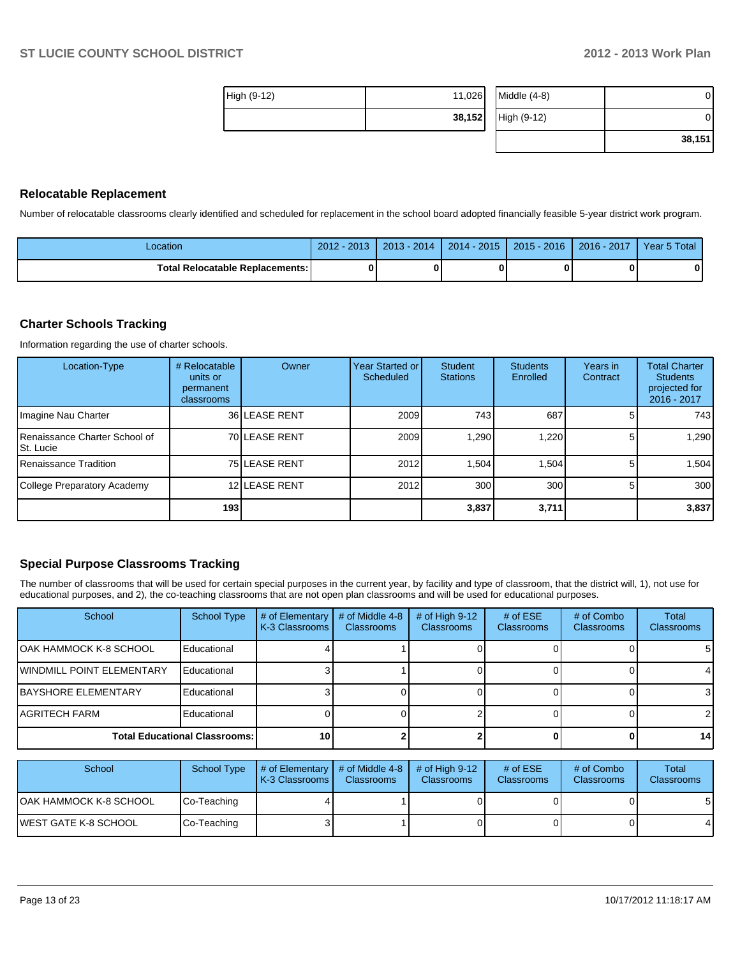| <b>High (9-12)</b> | 11,026 | Middle $(4-8)$ | 01     |
|--------------------|--------|----------------|--------|
|                    | 38,152 | High (9-12)    | 01     |
|                    |        |                | 38,151 |

#### **Relocatable Replacement**

Number of relocatable classrooms clearly identified and scheduled for replacement in the school board adopted financially feasible 5-year district work program.

| Location                                 | $2012 - 2013$ | $2013 - 2014$ | $2014 - 2015$ | 2015 - 2016 | 2016 - 2017 | Year 5 Total |
|------------------------------------------|---------------|---------------|---------------|-------------|-------------|--------------|
| <b>Total Relocatable Replacements: I</b> |               |               |               |             |             |              |

#### **Charter Schools Tracking**

Information regarding the use of charter schools.

| Location-Type                              | # Relocatable<br>units or<br>permanent<br>classrooms | Owner         | Year Started or I<br>Scheduled | Student<br><b>Stations</b> | <b>Students</b><br>Enrolled | Years in<br>Contract | <b>Total Charter</b><br><b>Students</b><br>projected for<br>2016 - 2017 |
|--------------------------------------------|------------------------------------------------------|---------------|--------------------------------|----------------------------|-----------------------------|----------------------|-------------------------------------------------------------------------|
| Imagine Nau Charter                        |                                                      | 36 LEASE RENT | 2009                           | 743 l                      | 687                         |                      | 743                                                                     |
| Renaissance Charter School of<br>St. Lucie |                                                      | 70 LEASE RENT | 2009                           | 1,290                      | ,220                        | 5.                   | 1,290                                                                   |
| Renaissance Tradition                      |                                                      | 75 LEASE RENT | 2012                           | 1.504                      | .504                        | 5                    | 1.504                                                                   |
| College Preparatory Academy                |                                                      | 12 LEASE RENT | 2012                           | 300 <sub>l</sub>           | 300                         | 5.                   | 300                                                                     |
|                                            | 193 l                                                |               |                                | 3,837                      | 3,711                       |                      | 3,837                                                                   |

#### **Special Purpose Classrooms Tracking**

The number of classrooms that will be used for certain special purposes in the current year, by facility and type of classroom, that the district will, 1), not use for educational purposes, and 2), the co-teaching classrooms that are not open plan classrooms and will be used for educational purposes.

| School                               | <b>School Type</b> | # of Elementary<br>K-3 Classrooms | # of Middle 4-8<br><b>Classrooms</b> | # of High $9-12$<br><b>Classrooms</b> | # of $ESE$<br>Classrooms | # of Combo<br><b>Classrooms</b> | Total<br><b>Classrooms</b> |
|--------------------------------------|--------------------|-----------------------------------|--------------------------------------|---------------------------------------|--------------------------|---------------------------------|----------------------------|
| IOAK HAMMOCK K-8 SCHOOL              | Educational        |                                   |                                      |                                       |                          |                                 | 51                         |
| <b>IWINDMILL POINT ELEMENTARY</b>    | Educational        |                                   |                                      |                                       |                          |                                 |                            |
| <b>IBAYSHORE ELEMENTARY</b>          | Educational        |                                   |                                      |                                       |                          |                                 |                            |
| AGRITECH FARM                        | Educational        |                                   |                                      |                                       |                          |                                 |                            |
| <b>Total Educational Classrooms:</b> |                    | 10                                |                                      |                                       |                          |                                 | 14 <sup>1</sup>            |

| School                  | <b>School Type</b> | $\parallel$ # of Elementary $\parallel$ # of Middle 4-8 $\parallel$<br><b>K-3 Classrooms L</b> | <b>Classrooms</b> | $\#$ of High 9-12<br><b>Classrooms</b> | # of $ESE$<br>Classrooms | # of Combo<br><b>Classrooms</b> | Total<br><b>Classrooms</b> |
|-------------------------|--------------------|------------------------------------------------------------------------------------------------|-------------------|----------------------------------------|--------------------------|---------------------------------|----------------------------|
| IOAK HAMMOCK K-8 SCHOOL | Co-Teaching        |                                                                                                |                   |                                        |                          |                                 | 51                         |
| IWEST GATE K-8 SCHOOL   | Co-Teaching        |                                                                                                |                   |                                        |                          |                                 | 4                          |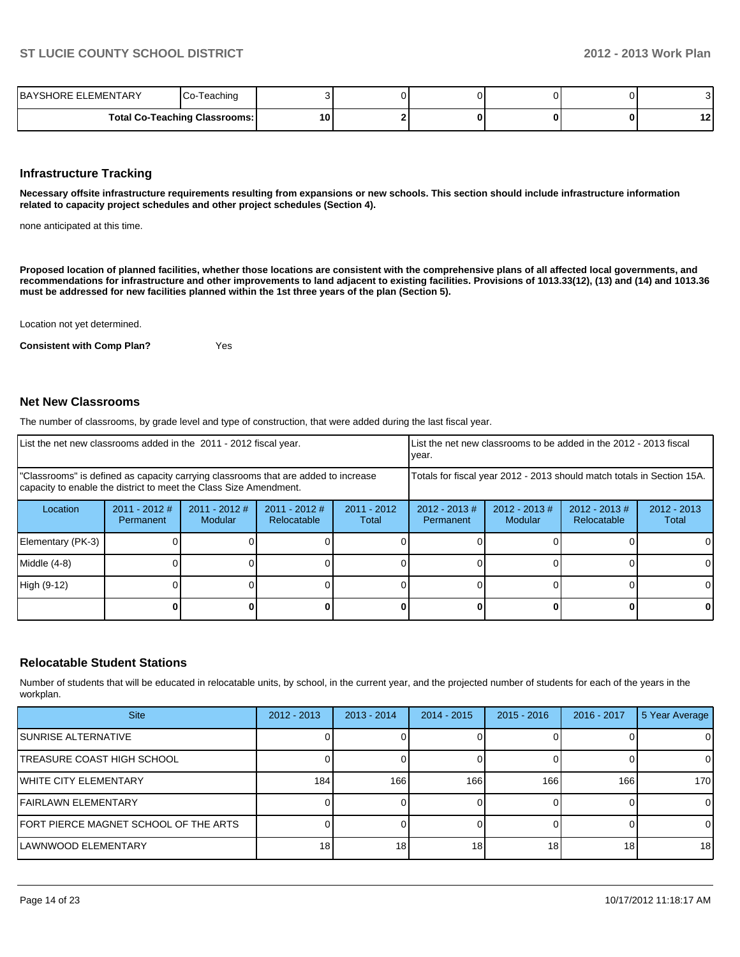| <b>EMENTARY</b><br>IBAYSHORE EI      | <sup>-</sup> eaching |    |  |  | v  |
|--------------------------------------|----------------------|----|--|--|----|
| <b>Total Co-Teaching Classrooms:</b> |                      | 10 |  |  | 12 |

#### **Infrastructure Tracking**

**Necessary offsite infrastructure requirements resulting from expansions or new schools. This section should include infrastructure information related to capacity project schedules and other project schedules (Section 4).**

none anticipated at this time.

**Proposed location of planned facilities, whether those locations are consistent with the comprehensive plans of all affected local governments, and recommendations for infrastructure and other improvements to land adjacent to existing facilities. Provisions of 1013.33(12), (13) and (14) and 1013.36 must be addressed for new facilities planned within the 1st three years of the plan (Section 5).**

Location not yet determined.

**Consistent with Comp Plan?** Yes

#### **Net New Classrooms**

The number of classrooms, by grade level and type of construction, that were added during the last fiscal year.

| List the net new classrooms added in the 2011 - 2012 fiscal year.                                                                                       |                              |                            |                                |                        | List the net new classrooms to be added in the 2012 - 2013 fiscal<br>Ivear. |                             |                                        |                        |
|---------------------------------------------------------------------------------------------------------------------------------------------------------|------------------------------|----------------------------|--------------------------------|------------------------|-----------------------------------------------------------------------------|-----------------------------|----------------------------------------|------------------------|
| "Classrooms" is defined as capacity carrying classrooms that are added to increase<br>capacity to enable the district to meet the Class Size Amendment. |                              |                            |                                |                        | Totals for fiscal year 2012 - 2013 should match totals in Section 15A.      |                             |                                        |                        |
| Location                                                                                                                                                | $2011 - 2012$ #<br>Permanent | $2011 - 2012$ #<br>Modular | $2011 - 2012$ #<br>Relocatable | $2011 - 2012$<br>Total | $2012 - 2013 \#$<br>Permanent                                               | $2012 - 2013 \#$<br>Modular | $2012 - 2013 \#$<br><b>Relocatable</b> | $2012 - 2013$<br>Total |
| Elementary (PK-3)                                                                                                                                       |                              |                            |                                |                        |                                                                             |                             |                                        |                        |
| Middle (4-8)                                                                                                                                            |                              |                            |                                |                        |                                                                             |                             |                                        |                        |
| High (9-12)                                                                                                                                             |                              |                            |                                |                        |                                                                             |                             |                                        |                        |
|                                                                                                                                                         |                              |                            |                                |                        |                                                                             |                             |                                        | 0                      |

#### **Relocatable Student Stations**

Number of students that will be educated in relocatable units, by school, in the current year, and the projected number of students for each of the years in the workplan.

| <b>Site</b>                           | $2012 - 2013$   | $2013 - 2014$   | $2014 - 2015$ | $2015 - 2016$   | 2016 - 2017     | 5 Year Average |
|---------------------------------------|-----------------|-----------------|---------------|-----------------|-----------------|----------------|
| SUNRISE ALTERNATIVE                   |                 |                 |               |                 |                 | 0              |
| TREASURE COAST HIGH SCHOOL            |                 |                 |               |                 |                 | $\Omega$       |
| IWHITE CITY ELEMENTARY                | 184             | 166             | 166           | 166             | 166             | 170            |
| FAIRLAWN ELEMENTARY                   |                 |                 |               |                 |                 | $\Omega$       |
| FORT PIERCE MAGNET SCHOOL OF THE ARTS |                 |                 |               |                 |                 | $\Omega$       |
| <b>LAWNWOOD ELEMENTARY</b>            | 18 <sub>1</sub> | 18 <sub>1</sub> | 18            | 18 <sub>1</sub> | 18 <sub>1</sub> | 18             |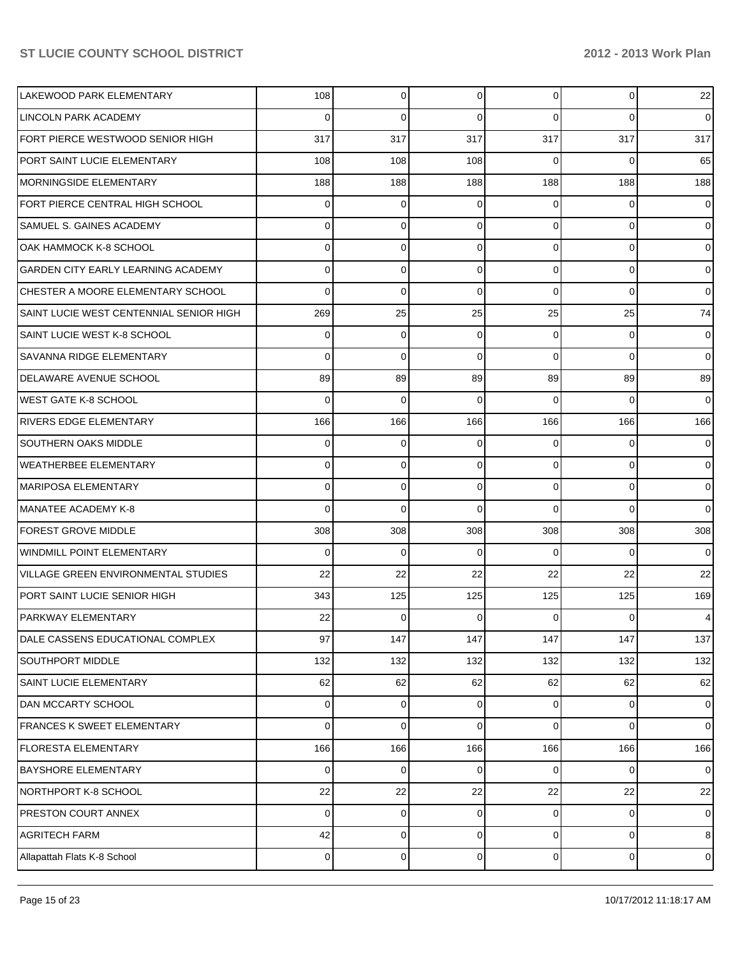| LAKEWOOD PARK ELEMENTARY                   | 108            | 0           | $\Omega$ | $\overline{0}$ | $\overline{0}$ | 22                          |
|--------------------------------------------|----------------|-------------|----------|----------------|----------------|-----------------------------|
| LINCOLN PARK ACADEMY                       | 0              | $\mathbf 0$ | 0        | $\Omega$       | $\Omega$       | $\overline{0}$              |
| FORT PIERCE WESTWOOD SENIOR HIGH           | 317            | 317         | 317      | 317            | 317            | 317                         |
| PORT SAINT LUCIE ELEMENTARY                | 108            | 108         | 108      | $\Omega$       | $\Omega$       | 65                          |
| <b>MORNINGSIDE ELEMENTARY</b>              | 188            | 188         | 188      | 188            | 188            | 188                         |
| FORT PIERCE CENTRAL HIGH SCHOOL            | 0              | 0           | 0        | $\Omega$       | $\Omega$       | $\overline{0}$              |
| <b>SAMUEL S. GAINES ACADEMY</b>            | 0              | $\mathbf 0$ | 0        | $\Omega$       | $\Omega$       | $\overline{0}$              |
| OAK HAMMOCK K-8 SCHOOL                     | 0              | 0           | 0        | $\Omega$       | 0              | $\overline{0}$              |
| <b>GARDEN CITY EARLY LEARNING ACADEMY</b>  | 0              | 0           | 0        | $\Omega$       | $\mathbf 0$    | $\overline{0}$              |
| CHESTER A MOORE ELEMENTARY SCHOOL          | 0              | $\mathbf 0$ | 0        | $\Omega$       | $\Omega$       | $\overline{0}$              |
| SAINT LUCIE WEST CENTENNIAL SENIOR HIGH    | 269            | 25          | 25       | 25             | 25             | 74                          |
| SAINT LUCIE WEST K-8 SCHOOL                | 0              | $\mathbf 0$ | 0        | $\Omega$       | 0              | $\overline{0}$              |
| <b>SAVANNA RIDGE ELEMENTARY</b>            | 0              | $\mathbf 0$ | $\Omega$ | $\Omega$       | $\Omega$       | $\overline{0}$              |
| DELAWARE AVENUE SCHOOL                     | 89             | 89          | 89       | 89             | 89             | 89                          |
| WEST GATE K-8 SCHOOL                       | 0              | $\mathbf 0$ | 0        | $\Omega$       | $\Omega$       | $\overline{0}$              |
| RIVERS EDGE ELEMENTARY                     | 166            | 166         | 166      | 166            | 166            | 166                         |
| <b>SOUTHERN OAKS MIDDLE</b>                | 0              | 0           | 0        | 0              | 0              | $\overline{0}$              |
| WEATHERBEE ELEMENTARY                      | 0              | 0           | 0        | $\Omega$       | $\overline{0}$ | $\overline{0}$              |
| MARIPOSA ELEMENTARY                        | 0              | $\mathbf 0$ | 0        | $\Omega$       | $\Omega$       | $\overline{0}$              |
| MANATEE ACADEMY K-8                        | 0              | $\Omega$    | 0        | $\Omega$       | $\Omega$       | $\overline{0}$              |
| <b>FOREST GROVE MIDDLE</b>                 | 308            | 308         | 308      | 308            | 308            | 308                         |
| <b>WINDMILL POINT ELEMENTARY</b>           | 0              | $\mathbf 0$ | 0        | $\Omega$       | $\Omega$       | $\overline{0}$              |
| <b>VILLAGE GREEN ENVIRONMENTAL STUDIES</b> | 22             | 22          | 22       | 22             | 22             | 22                          |
| PORT SAINT LUCIE SENIOR HIGH               | 343            | 125         | 125      | 125            | 125            | 169                         |
| <b>PARKWAY ELEMENTARY</b>                  | 22             | $\mathbf 0$ | 0        | 0              | 0              | $\overline{4}$              |
| DALE CASSENS EDUCATIONAL COMPLEX           | 97             | 147         | 147      | 147            | 147            | 137                         |
| <b>SOUTHPORT MIDDLE</b>                    | 132            | 132         | 132      | 132            | 132            | 132                         |
| SAINT LUCIE ELEMENTARY                     | 62             | 62          | 62       | 62             | 62             | 62                          |
| DAN MCCARTY SCHOOL                         | 0              | 0           | 0        | $\overline{0}$ | $\overline{0}$ | $\overline{0}$              |
| <b>FRANCES K SWEET ELEMENTARY</b>          | 0              | $\mathbf 0$ | $\Omega$ | $\Omega$       | $\Omega$       | $\overline{0}$              |
| <b>FLORESTA ELEMENTARY</b>                 | 166            | 166         | 166      | 166            | 166            | 166                         |
| <b>BAYSHORE ELEMENTARY</b>                 | 0              | 0           | 0        | $\Omega$       | 0              | $\overline{0}$              |
| NORTHPORT K-8 SCHOOL                       | 22             | 22          | 22       | 22             | 22             | 22                          |
| PRESTON COURT ANNEX                        | 0              | $\mathbf 0$ | 0        | $\overline{0}$ | $\mathbf 0$    | $\overline{0}$              |
| <b>AGRITECH FARM</b>                       | 42             | $\mathbf 0$ | 0        | $\overline{0}$ | $\mathbf 0$    | 8 <sup>1</sup>              |
| Allapattah Flats K-8 School                | $\overline{0}$ | $\mathbf 0$ | 0        | $\overline{0}$ | $\overline{0}$ | $\mathsf{O}\hspace{0.02cm}$ |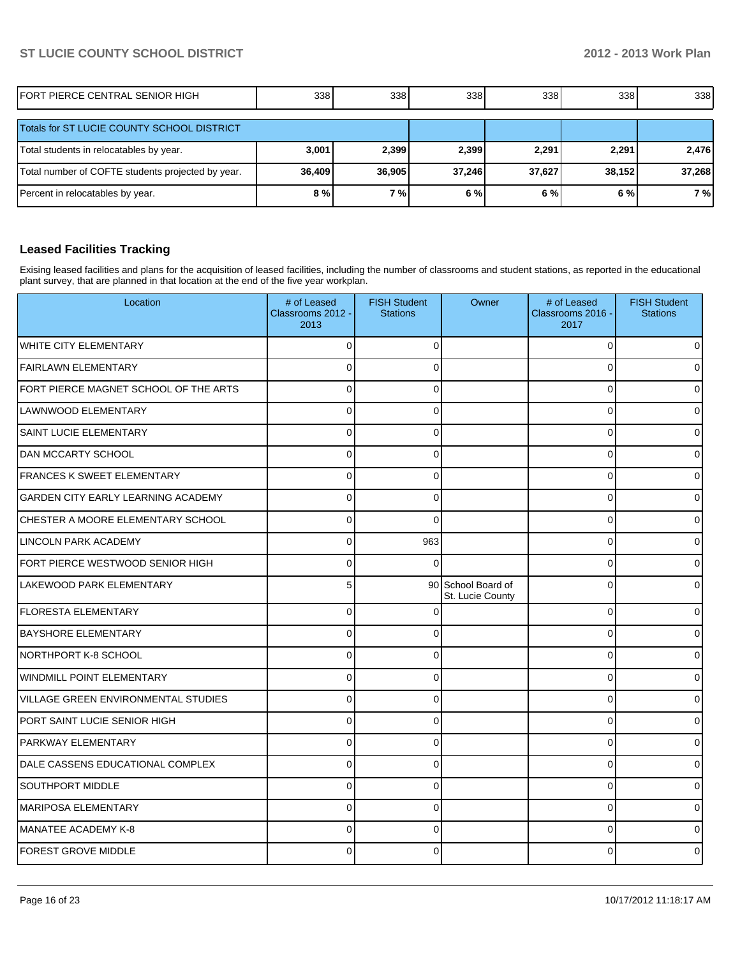| FORT PIERCE CENTRAL SENIOR HIGH                   | 338            | 338    | 338    | 338    | 338    | 338    |
|---------------------------------------------------|----------------|--------|--------|--------|--------|--------|
| Totals for ST LUCIE COUNTY SCHOOL DISTRICT        |                |        |        |        |        |        |
| Total students in relocatables by year.           | 3,001          | 2,399  | 2,399  | 2,291  | 2.291  | 2,476  |
| Total number of COFTE students projected by year. | 36,409         | 36,905 | 37.246 | 37,627 | 38.152 | 37,268 |
| Percent in relocatables by year.                  | 8 <sub>0</sub> | 7%     | 6%     | 6 %    | 6%     | 7%     |

### **Leased Facilities Tracking**

Exising leased facilities and plans for the acquisition of leased facilities, including the number of classrooms and student stations, as reported in the educational plant survey, that are planned in that location at the end of the five year workplan.

| Location                                   | # of Leased<br>Classrooms 2012 -<br>2013 | <b>FISH Student</b><br><b>Stations</b> | Owner                                  | # of Leased<br>Classrooms 2016 -<br>2017 | <b>FISH Student</b><br><b>Stations</b> |
|--------------------------------------------|------------------------------------------|----------------------------------------|----------------------------------------|------------------------------------------|----------------------------------------|
| <b>WHITE CITY ELEMENTARY</b>               | $\Omega$                                 | $\Omega$                               |                                        | $\mathbf 0$                              | $\overline{0}$                         |
| <b>FAIRLAWN ELEMENTARY</b>                 | $\Omega$                                 | $\Omega$                               |                                        | $\Omega$                                 | 0                                      |
| FORT PIERCE MAGNET SCHOOL OF THE ARTS      | $\Omega$                                 | $\Omega$                               |                                        | $\overline{0}$                           | 0                                      |
| LAWNWOOD ELEMENTARY                        | $\Omega$                                 | $\Omega$                               |                                        | $\Omega$                                 | 0                                      |
| SAINT LUCIE ELEMENTARY                     | $\overline{0}$                           | $\Omega$                               |                                        | $\Omega$                                 | 0                                      |
| <b>DAN MCCARTY SCHOOL</b>                  | $\Omega$                                 | $\mathbf{0}$                           |                                        | 0                                        | 0                                      |
| <b>FRANCES K SWEET ELEMENTARY</b>          | $\Omega$                                 | 0                                      |                                        | 0                                        | 0                                      |
| <b>GARDEN CITY EARLY LEARNING ACADEMY</b>  | $\Omega$                                 | $\Omega$                               |                                        | $\Omega$                                 | 0                                      |
| CHESTER A MOORE ELEMENTARY SCHOOL          | $\Omega$                                 | $\Omega$                               |                                        | $\overline{0}$                           | 0                                      |
| LINCOLN PARK ACADEMY                       | $\Omega$                                 | 963                                    |                                        | $\Omega$                                 | 0                                      |
| FORT PIERCE WESTWOOD SENIOR HIGH           | $\Omega$                                 | $\Omega$                               |                                        | $\Omega$                                 | 0                                      |
| LAKEWOOD PARK ELEMENTARY                   | 5                                        |                                        | 90 School Board of<br>St. Lucie County | $\Omega$                                 | 0                                      |
| <b>FLORESTA ELEMENTARY</b>                 | $\Omega$                                 | ∩                                      |                                        | 0                                        | U                                      |
| <b>BAYSHORE ELEMENTARY</b>                 | $\Omega$                                 | $\Omega$                               |                                        | $\Omega$                                 | 0                                      |
| NORTHPORT K-8 SCHOOL                       | $\Omega$                                 | $\Omega$                               |                                        | $\Omega$                                 | 0                                      |
| WINDMILL POINT ELEMENTARY                  | $\Omega$                                 | $\Omega$                               |                                        | 0                                        | 0                                      |
| <b>VILLAGE GREEN ENVIRONMENTAL STUDIES</b> | $\Omega$                                 | $\Omega$                               |                                        | $\Omega$                                 | 0                                      |
| PORT SAINT LUCIE SENIOR HIGH               | $\Omega$                                 | $\mathbf{0}$                           |                                        | $\Omega$                                 | 0                                      |
| PARKWAY ELEMENTARY                         | $\Omega$                                 | $\Omega$                               |                                        | $\Omega$                                 | ი                                      |
| DALE CASSENS EDUCATIONAL COMPLEX           | $\Omega$                                 | $\Omega$                               |                                        | $\Omega$                                 | 0                                      |
| SOUTHPORT MIDDLE                           | $\Omega$                                 | $\Omega$                               |                                        | $\Omega$                                 | 0                                      |
| <b>MARIPOSA ELEMENTARY</b>                 | $\Omega$                                 | $\Omega$                               |                                        | 0                                        | 0                                      |
| <b>MANATEE ACADEMY K-8</b>                 | $\Omega$                                 | $\Omega$                               |                                        | $\Omega$                                 | 0                                      |
| <b>FOREST GROVE MIDDLE</b>                 | 0                                        | $\Omega$                               |                                        | O                                        | 0                                      |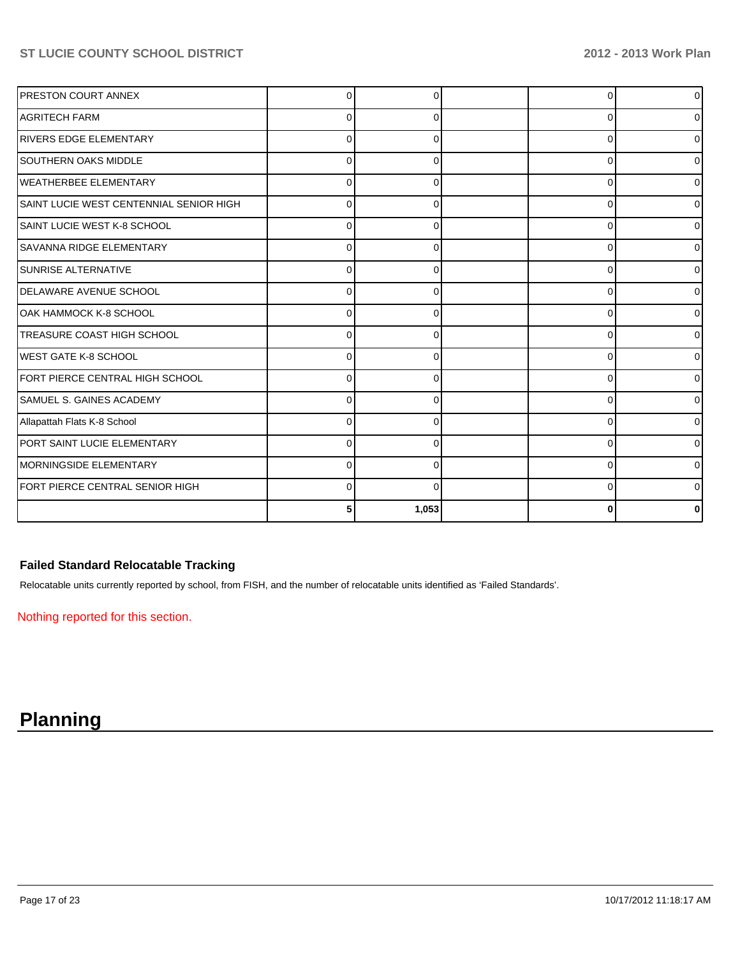| <b>PRESTON COURT ANNEX</b>              |          |       |          | $\overline{0}$ |
|-----------------------------------------|----------|-------|----------|----------------|
| <b>AGRITECH FARM</b>                    |          |       | ∩        | 0              |
| <b>RIVERS EDGE ELEMENTARY</b>           | U        |       | $\Omega$ | $\overline{0}$ |
| <b>SOUTHERN OAKS MIDDLE</b>             | U        | O     | $\Omega$ | 0              |
| <b>WEATHERBEE ELEMENTARY</b>            | $\Omega$ | 0     | 0        | $\Omega$       |
| SAINT LUCIE WEST CENTENNIAL SENIOR HIGH | ŋ        | 0     | $\Omega$ | 01             |
| ISAINT LUCIE WEST K-8 SCHOOL            | O        |       | $\Omega$ | 0              |
| <b>SAVANNA RIDGE ELEMENTARY</b>         |          |       | $\Omega$ | $\overline{0}$ |
| <b>SUNRISE ALTERNATIVE</b>              |          |       | 0        | $\overline{0}$ |
| <b>IDELAWARE AVENUE SCHOOL</b>          |          |       | ∩        | 0              |
| OAK HAMMOCK K-8 SCHOOL                  |          |       | U        | ٥I             |
| <b>TREASURE COAST HIGH SCHOOL</b>       | U        | ∩     | O        | 0              |
| IWEST GATE K-8 SCHOOL                   | $\Omega$ | 0     | $\Omega$ | 0              |
| FORT PIERCE CENTRAL HIGH SCHOOL         | U        | O     | $\Omega$ | 01             |
| <b>SAMUEL S. GAINES ACADEMY</b>         |          |       | 0        | 01             |
| Allapattah Flats K-8 School             |          |       | 0        | 0              |
| PORT SAINT LUCIE ELEMENTARY             |          |       | 0        | 0              |
| MORNINGSIDE ELEMENTARY                  | n        |       | U        | 0              |
| FORT PIERCE CENTRAL SENIOR HIGH         | U        |       | U        | 0              |
|                                         |          | 1,053 |          | n              |

## **Failed Standard Relocatable Tracking**

Relocatable units currently reported by school, from FISH, and the number of relocatable units identified as 'Failed Standards'.

Nothing reported for this section.

# **Planning**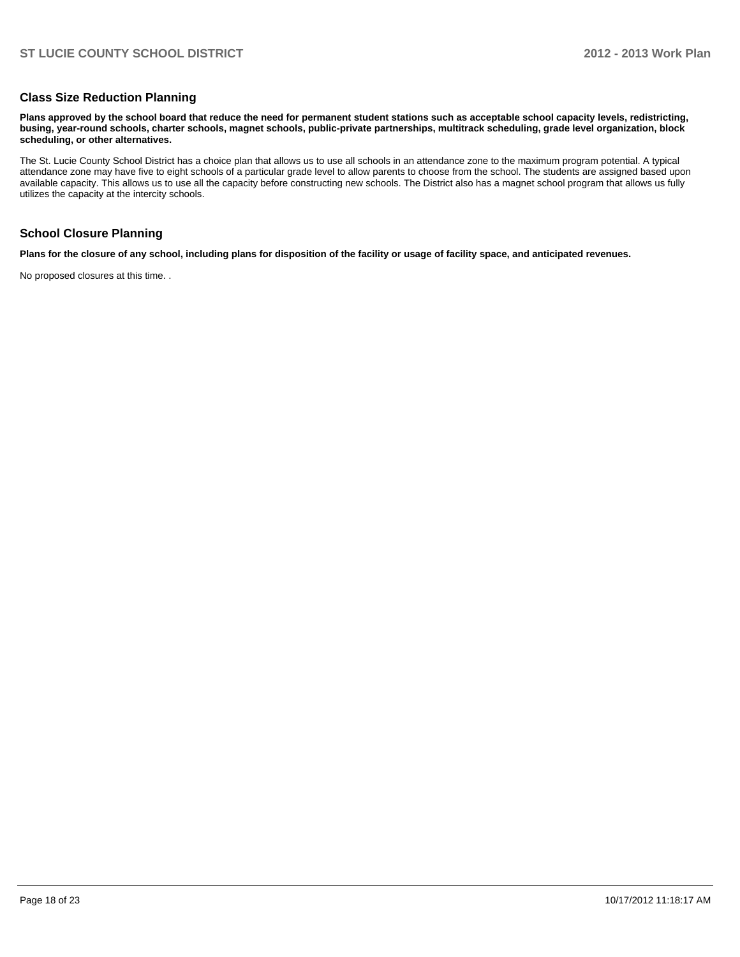#### **Class Size Reduction Planning**

**Plans approved by the school board that reduce the need for permanent student stations such as acceptable school capacity levels, redistricting, busing, year-round schools, charter schools, magnet schools, public-private partnerships, multitrack scheduling, grade level organization, block scheduling, or other alternatives.**

The St. Lucie County School District has a choice plan that allows us to use all schools in an attendance zone to the maximum program potential. A typical attendance zone may have five to eight schools of a particular grade level to allow parents to choose from the school. The students are assigned based upon available capacity. This allows us to use all the capacity before constructing new schools. The District also has a magnet school program that allows us fully utilizes the capacity at the intercity schools.

#### **School Closure Planning**

**Plans for the closure of any school, including plans for disposition of the facility or usage of facility space, and anticipated revenues.**

No proposed closures at this time. .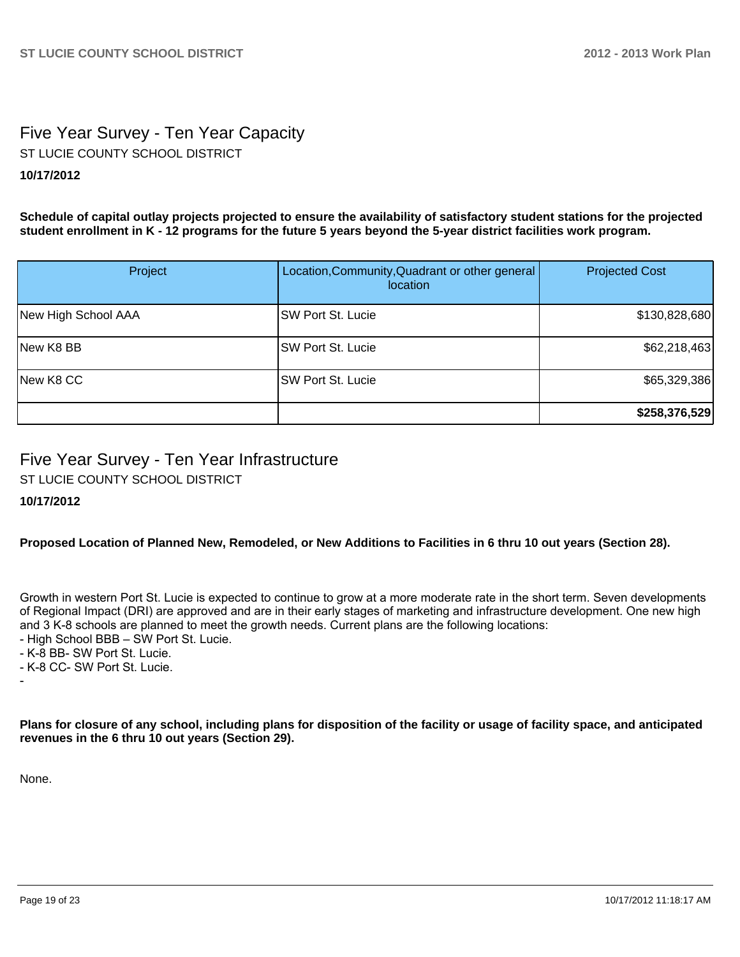# Five Year Survey - Ten Year Capacity ST LUCIE COUNTY SCHOOL DISTRICT

## **10/17/2012**

**Schedule of capital outlay projects projected to ensure the availability of satisfactory student stations for the projected student enrollment in K - 12 programs for the future 5 years beyond the 5-year district facilities work program.**

| Project             | Location, Community, Quadrant or other general<br><i>location</i> | <b>Projected Cost</b> |
|---------------------|-------------------------------------------------------------------|-----------------------|
| New High School AAA | SW Port St. Lucie                                                 | \$130,828,680         |
| New K8 BB           | <b>SW Port St. Lucie</b>                                          | \$62,218,463          |
| New K8 CC           | SW Port St. Lucie                                                 | \$65,329,386          |
|                     |                                                                   | \$258,376,529         |

# Five Year Survey - Ten Year Infrastructure

ST LUCIE COUNTY SCHOOL DISTRICT

## **10/17/2012**

**Proposed Location of Planned New, Remodeled, or New Additions to Facilities in 6 thru 10 out years (Section 28).**

Growth in western Port St. Lucie is expected to continue to grow at a more moderate rate in the short term. Seven developments of Regional Impact (DRI) are approved and are in their early stages of marketing and infrastructure development. One new high and 3 K-8 schools are planned to meet the growth needs. Current plans are the following locations:

- High School BBB SW Port St. Lucie.
- K-8 BB- SW Port St. Lucie.
- K-8 CC- SW Port St. Lucie.

**Plans for closure of any school, including plans for disposition of the facility or usage of facility space, and anticipated revenues in the 6 thru 10 out years (Section 29).**

None.

-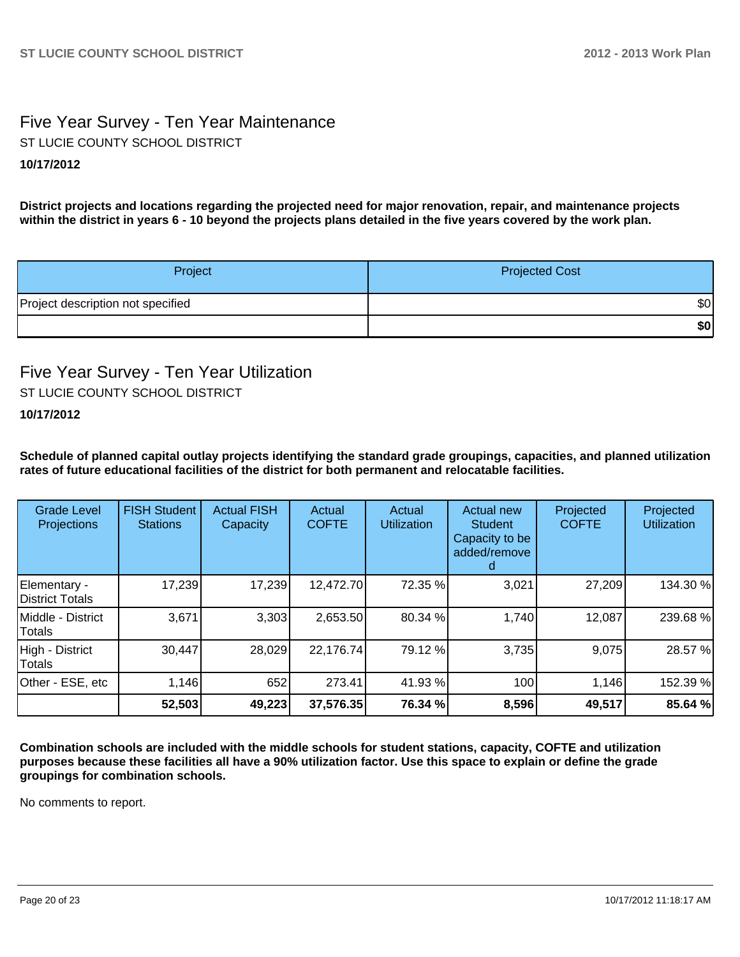# Five Year Survey - Ten Year Maintenance **10/17/2012** ST LUCIE COUNTY SCHOOL DISTRICT

**District projects and locations regarding the projected need for major renovation, repair, and maintenance projects within the district in years 6 - 10 beyond the projects plans detailed in the five years covered by the work plan.**

| Project                           | <b>Projected Cost</b> |
|-----------------------------------|-----------------------|
| Project description not specified | \$0                   |
|                                   | \$0                   |

## Five Year Survey - Ten Year Utilization ST LUCIE COUNTY SCHOOL DISTRICT

## **10/17/2012**

**Schedule of planned capital outlay projects identifying the standard grade groupings, capacities, and planned utilization rates of future educational facilities of the district for both permanent and relocatable facilities.**

| <b>Grade Level</b><br>Projections | <b>FISH Student</b><br><b>Stations</b> | <b>Actual FISH</b><br>Capacity | Actual<br><b>COFTE</b> | Actual<br><b>Utilization</b> | Actual new<br><b>Student</b><br>Capacity to be<br>added/remove | Projected<br><b>COFTE</b> | Projected<br><b>Utilization</b> |
|-----------------------------------|----------------------------------------|--------------------------------|------------------------|------------------------------|----------------------------------------------------------------|---------------------------|---------------------------------|
| Elementary -<br>District Totals   | 17,239                                 | 17,239                         | 12,472.70              | 72.35 %                      | 3,021                                                          | 27,209                    | 134.30 %                        |
| Middle - District<br>Totals       | 3,671                                  | 3,303                          | 2,653.50               | 80.34 %                      | 1,740                                                          | 12,087                    | 239.68%                         |
| High - District<br>Totals         | 30,447                                 | 28,029                         | 22,176.74              | 79.12 %                      | 3,735                                                          | 9,075                     | 28.57 %                         |
| Other - ESE, etc                  | 1,146                                  | 652                            | 273.41                 | 41.93 %                      | 100                                                            | 1,146                     | 152.39 %                        |
|                                   | 52,503                                 | 49,223                         | 37,576.35              | 76.34 %                      | 8,596                                                          | 49,517                    | 85.64 %                         |

**Combination schools are included with the middle schools for student stations, capacity, COFTE and utilization purposes because these facilities all have a 90% utilization factor. Use this space to explain or define the grade groupings for combination schools.**

No comments to report.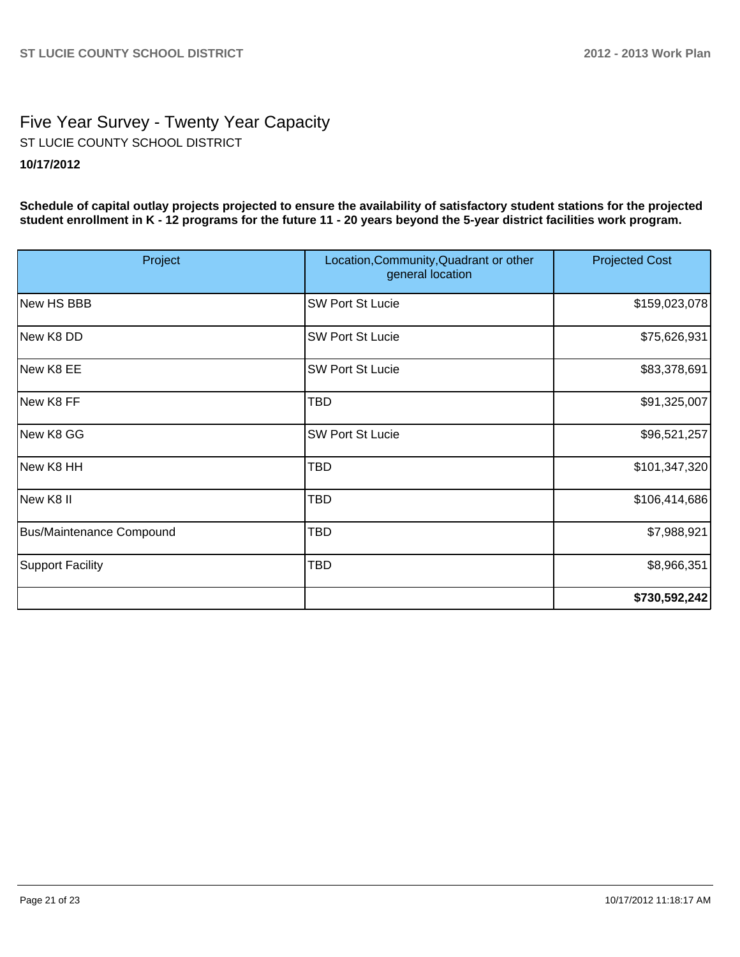# Five Year Survey - Twenty Year Capacity **10/17/2012** ST LUCIE COUNTY SCHOOL DISTRICT

**Schedule of capital outlay projects projected to ensure the availability of satisfactory student stations for the projected student enrollment in K - 12 programs for the future 11 - 20 years beyond the 5-year district facilities work program.**

| Project                  | Location, Community, Quadrant or other<br>general location | <b>Projected Cost</b> |
|--------------------------|------------------------------------------------------------|-----------------------|
| New HS BBB               | <b>SW Port St Lucie</b>                                    | \$159,023,078         |
| New K8 DD                | <b>SW Port St Lucie</b>                                    | \$75,626,931          |
| New K8 EE                | <b>SW Port St Lucie</b>                                    | \$83,378,691          |
| New K8 FF                | <b>TBD</b>                                                 | \$91,325,007          |
| New K8 GG                | <b>SW Port St Lucie</b>                                    | \$96,521,257          |
| New K8 HH                | <b>TBD</b>                                                 | \$101,347,320         |
| New K8 II                | <b>TBD</b>                                                 | \$106,414,686         |
| Bus/Maintenance Compound | TBD                                                        | \$7,988,921           |
| <b>Support Facility</b>  | TBD                                                        | \$8,966,351           |
|                          |                                                            | \$730,592,242         |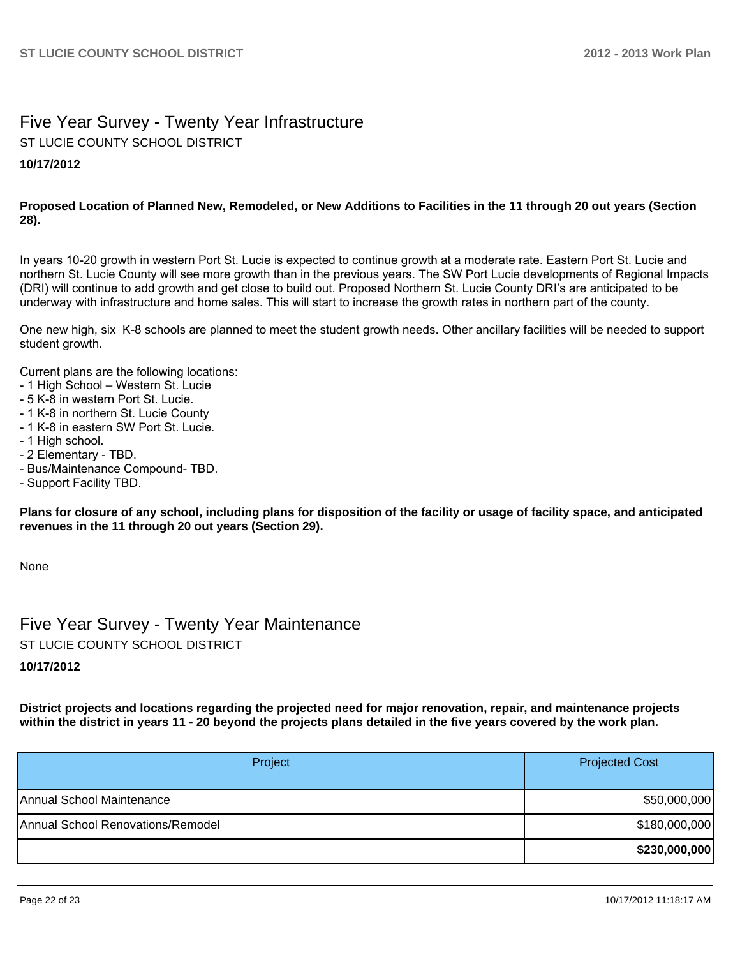## Five Year Survey - Twenty Year Infrastructure ST LUCIE COUNTY SCHOOL DISTRICT

### **10/17/2012**

#### **Proposed Location of Planned New, Remodeled, or New Additions to Facilities in the 11 through 20 out years (Section 28).**

In years 10-20 growth in western Port St. Lucie is expected to continue growth at a moderate rate. Eastern Port St. Lucie and northern St. Lucie County will see more growth than in the previous years. The SW Port Lucie developments of Regional Impacts (DRI) will continue to add growth and get close to build out. Proposed Northern St. Lucie County DRI's are anticipated to be underway with infrastructure and home sales. This will start to increase the growth rates in northern part of the county.

One new high, six K-8 schools are planned to meet the student growth needs. Other ancillary facilities will be needed to support student arowth.

Current plans are the following locations:

- 1 High School Western St. Lucie
- 5 K-8 in western Port St. Lucie.
- 1 K-8 in northern St. Lucie County
- 1 K-8 in eastern SW Port St. Lucie.
- 1 High school.
- 2 Elementary TBD.
- Bus/Maintenance Compound- TBD.
- Support Facility TBD.

**Plans for closure of any school, including plans for disposition of the facility or usage of facility space, and anticipated revenues in the 11 through 20 out years (Section 29).**

None

Five Year Survey - Twenty Year Maintenance ST LUCIE COUNTY SCHOOL DISTRICT

**10/17/2012**

**District projects and locations regarding the projected need for major renovation, repair, and maintenance projects within the district in years 11 - 20 beyond the projects plans detailed in the five years covered by the work plan.**

| Project                           | <b>Projected Cost</b> |
|-----------------------------------|-----------------------|
| lAnnual School Maintenance        | \$50,000,000          |
| Annual School Renovations/Remodel | \$180,000,000         |
|                                   | \$230,000,000         |